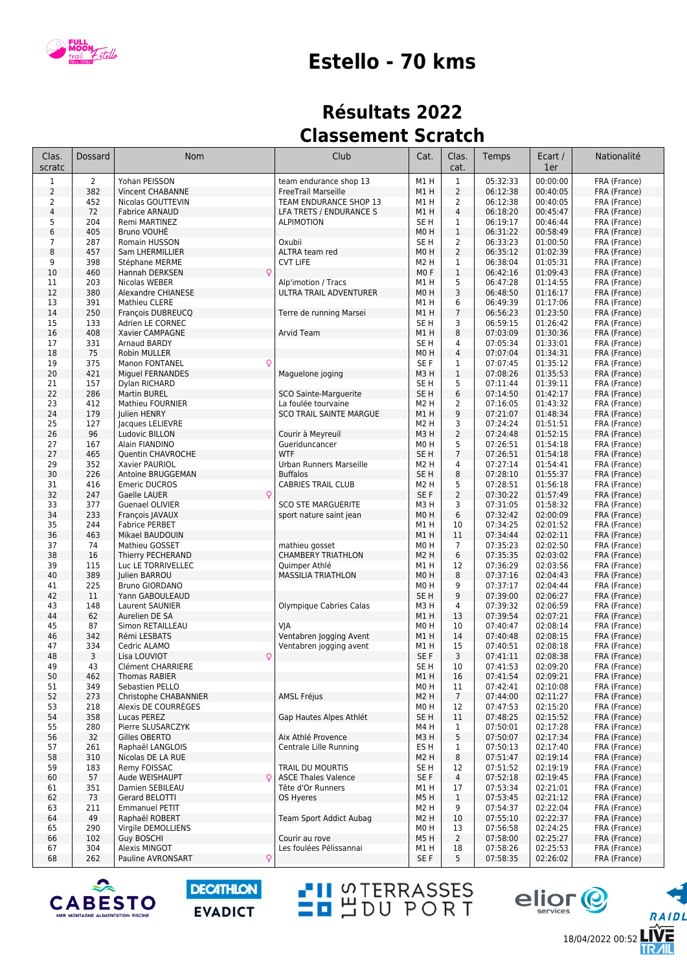

## **Estello - 70 kms**

## **Résultats 2022 Classement Scratch**

| Clas.<br>scratc | Dossard        | Nom                                     | Club                                                  | Cat.                    | Clas.<br>cat.       | Temps                | Ecart /<br>1er       | Nationalité                  |
|-----------------|----------------|-----------------------------------------|-------------------------------------------------------|-------------------------|---------------------|----------------------|----------------------|------------------------------|
| $1\,$           | $\overline{2}$ | Yohan PEISSON                           | team endurance shop 13                                | M1H                     | $\mathbf 1$         | 05:32:33             | 00:00:00             | FRA (France)                 |
| $\overline{2}$  | 382            | Vincent CHABANNE                        | FreeTrail Marseille                                   | M1H                     | $\overline{2}$      | 06:12:38             | 00:40:05             | FRA (France)                 |
| 2               | 452            | Nicolas GOUTTEVIN                       | TEAM ENDURANCE SHOP 13                                | M1 H                    | $\overline{2}$      | 06:12:38             | 00:40:05             | FRA (France)                 |
| $\overline{4}$  | 72<br>204      | <b>Fabrice ARNAUD</b>                   | LFA TRETS / ENDURANCE S                               | M1H<br>SE <sub>H</sub>  | $\overline{4}$      | 06:18:20<br>06:19:17 | 00:45:47<br>00:46:44 | FRA (France)                 |
| 5<br>6          | 405            | Remi MARTINEZ<br>Bruno VOUHĖ            | <b>ALPIMOTION</b>                                     | M <sub>0</sub> H        | 1<br>$\mathbf 1$    | 06:31:22             | 00:58:49             | FRA (France)<br>FRA (France) |
| 7               | 287            | Romain HUSSON                           | Oxubii                                                | SE <sub>H</sub>         | $\overline{2}$      | 06:33:23             | 01:00:50             | FRA (France)                 |
| 8               | 457            | Sam LHERMILLIER                         | ALTRA team red                                        | M <sub>0</sub> H        | $\overline{2}$      | 06:35:12             | 01:02:39             | FRA (France)                 |
| 9               | 398            | Stéphane MERME                          | <b>CVT LIFE</b>                                       | M <sub>2</sub> H        | $\mathbf 1$         | 06:38:04             | 01:05:31             | FRA (France)                 |
| 10              | 460            | Hannah DERKSEN                          |                                                       | M <sub>0</sub> F        | $1\,$               | 06:42:16             | 01:09:43             | FRA (France)                 |
| 11              | 203            | Nicolas WEBER                           | Alp'imotion / Tracs                                   | M1H                     | 5                   | 06:47:28             | 01:14:55             | FRA (France)                 |
| 12              | 380            | Alexandre CHIANESE                      | ULTRA TRAIL ADVENTURER                                | M <sub>0</sub> H        | 3                   | 06:48:50             | 01:16:17             | FRA (France)                 |
| 13              | 391<br>250     | Mathieu CLERE                           |                                                       | M1H                     | 6<br>$\overline{7}$ | 06:49:39<br>06:56:23 | 01:17:06<br>01:23:50 | FRA (France)<br>FRA (France) |
| 14<br>15        | 133            | François DUBREUCQ<br>Adrien LE CORNEC   | Terre de running Marsei                               | M1H<br>SE <sub>H</sub>  | 3                   | 06:59:15             | 01:26:42             | FRA (France)                 |
| 16              | 408            | Xavier CAMPAGNE                         | Arvid Team                                            | M1H                     | 8                   | 07:03:09             | 01:30:36             | FRA (France)                 |
| 17              | 331            | Arnaud BARDY                            |                                                       | SE H                    | 4                   | 07:05:34             | 01:33:01             | FRA (France)                 |
| 18              | 75             | Robin MULLER                            |                                                       | M <sub>0</sub> H        | $\overline{4}$      | 07:07:04             | 01:34:31             | FRA (France)                 |
| 19              | 375            | Q<br>Manon FONTANEL                     |                                                       | SE F                    | 1                   | 07:07:45             | 01:35:12             | FRA (France)                 |
| 20              | 421            | Miguel FERNANDES                        | Maguelone joging                                      | M3H                     | $1\,$               | 07:08:26             | 01:35:53             | FRA (France)                 |
| 21              | 157            | Dylan RICHARD                           |                                                       | SE H                    | 5                   | 07:11:44             | 01:39:11             | FRA (France)                 |
| 22              | 286            | Martin BUREL<br><b>Mathieu FOURNIER</b> | SCO Sainte-Marguerite                                 | SE <sub>H</sub>         | 6                   | 07:14:50<br>07:16:05 | 01:42:17             | FRA (France)                 |
| 23<br>24        | 412<br>179     | Julien HENRY                            | La foulée tourvaine<br><b>SCO TRAIL SAINTE MARGUE</b> | M <sub>2</sub> H<br>M1H | 2<br>9              | 07:21:07             | 01:43:32<br>01:48:34 | FRA (France)<br>FRA (France) |
| 25              | 127            | Jacques LELIEVRE                        |                                                       | M <sub>2</sub> H        | 3                   | 07:24:24             | 01:51:51             | FRA (France)                 |
| 26              | 96             | Ludovic BILLON                          | Courir à Meyreuil                                     | M3H                     | $\overline{2}$      | 07:24:48             | 01:52:15             | FRA (France)                 |
| 27              | 167            | Alain FIANDINO                          | Gueriduncancer                                        | M <sub>0</sub> H        | 5                   | 07:26:51             | 01:54:18             | FRA (France)                 |
| 27              | 465            | Quentin CHAVROCHE                       | <b>WTF</b>                                            | SE <sub>H</sub>         | $\overline{7}$      | 07:26:51             | 01:54:18             | FRA (France)                 |
| 29              | 352            | Xavier PAURIOL                          | Urban Runners Marseille                               | M <sub>2</sub> H        | 4                   | 07:27:14             | 01:54:41             | FRA (France)                 |
| 30              | 226            | Antoine BRUGGEMAN                       | <b>Buffalos</b>                                       | SE <sub>H</sub>         | 8                   | 07:28:10             | 01:55:37             | FRA (France)                 |
| 31              | 416            | <b>Emeric DUCROS</b>                    | <b>CABRIES TRAIL CLUB</b>                             | M <sub>2</sub> H        | 5                   | 07:28:51             | 01:56:18             | FRA (France)                 |
| 32<br>33        | 247<br>377     | Gaelle LAUER<br>Guenael OLIVIER         | <b>SCO STE MARGUERITE</b>                             | SE F<br>M3H             | $\overline{2}$<br>3 | 07:30:22<br>07:31:05 | 01:57:49<br>01:58:32 | FRA (France)<br>FRA (France) |
| 34              | 233            | François JAVAUX                         | sport nature saint jean                               | MO <sub>H</sub>         | 6                   | 07:32:42             | 02:00:09             | FRA (France)                 |
| 35              | 244            | <b>Fabrice PERBET</b>                   |                                                       | M1H                     | 10                  | 07:34:25             | 02:01:52             | FRA (France)                 |
| 36              | 463            | Mikael BAUDOUIN                         |                                                       | M1H                     | 11                  | 07:34:44             | 02:02:11             | FRA (France)                 |
| 37              | 74             | Mathieu GOSSET                          | mathieu gosset                                        | M <sub>0</sub> H        | $\overline{7}$      | 07:35:23             | 02:02:50             | FRA (France)                 |
| 38              | 16             | Thierry PECHERAND                       | <b>CHAMBERY TRIATHLON</b>                             | M <sub>2</sub> H        | 6                   | 07:35:35             | 02:03:02             | FRA (France)                 |
| 39              | 115            | Luc LE TORRIVELLEC                      | Quimper Athlé                                         | M1H                     | 12                  | 07:36:29             | 02:03:56             | FRA (France)                 |
| 40<br>41        | 389<br>225     | Julien BARROU<br><b>Bruno GIORDANO</b>  | <b>MASSILIA TRIATHLON</b>                             | M <sub>0</sub> H<br>M0H | 8<br>9              | 07:37:16<br>07:37:17 | 02:04:43<br>02:04:44 | FRA (France)                 |
| 42              | 11             | Yann GABOULEAUD                         |                                                       | SE <sub>H</sub>         | 9                   | 07:39:00             | 02:06:27             | FRA (France)<br>FRA (France) |
| 43              | 148            | Laurent SAUNIER                         | Olympique Cabries Calas                               | M3H                     | 4                   | 07:39:32             | 02:06:59             | FRA (France)                 |
| 44              | 62             | Aurelien DE SA                          |                                                       | M1H                     | 13                  | 07:39:54             | 02:07:21             | FRA (France)                 |
| 45              | 87             | Simon RETAILLEAU                        | VJA                                                   | M0H                     | 10                  | 07:40:47             | 02:08:14             | FRA (France)                 |
| 46              | 342            | Rémi LESBATS                            | Ventabren Jogging Avent                               | M1H                     | 14                  | 07:40:48             | 02:08:15             | FRA (France)                 |
| 47              | 334            | Cedric ALAMO                            | Ventabren jogging avent                               | M1H                     | 15                  | 07:40:51             | 02:08:18             | FRA (France)                 |
| 48              | 3              | Q<br>Lisa LOUVIOT                       |                                                       | SE F                    | 3                   | 07:41:11             | 02:08:38             | FRA (France)                 |
| 49              | 43<br>462      | Clément CHARRIERE<br>Thomas RABIER      |                                                       | SE H<br>M1H             | 10                  | 07:41:53<br>07:41:54 | 02:09:20<br>02:09:21 | FRA (France)<br>FRA (France) |
| 50<br>51        | 349            | Sebastien PELLO                         |                                                       | M0H                     | 16<br>11            | 07:42:41             | 02:10:08             | FRA (France)                 |
| 52              | 273            | Christophe CHABANNIER                   | <b>AMSL Fréjus</b>                                    | M <sub>2</sub> H        | $\overline{7}$      | 07:44:00             | 02:11:27             | FRA (France)                 |
| 53              | 218            | Alexis DE COURRÉGES                     |                                                       | M0H                     | 12                  | 07:47:53             | 02:15:20             | FRA (France)                 |
| 54              | 358            | Lucas PEREZ                             | Gap Hautes Alpes Athlét                               | SE <sub>H</sub>         | 11                  | 07:48:25             | 02:15:52             | FRA (France)                 |
| 55              | 280            | Pierre SLUSARCZYK                       |                                                       | M4 H                    | $\mathbf{1}$        | 07:50:01             | 02:17:28             | FRA (France)                 |
| 56              | 32             | Gilles OBERTO                           | Aix Athlé Provence                                    | M3H                     | 5                   | 07:50:07             | 02:17:34             | FRA (France)                 |
| 57              | 261            | Raphaël LANGLOIS                        | Centrale Lille Running                                | ES H                    | 1                   | 07:50:13             | 02:17:40             | FRA (France)                 |
| 58<br>59        | 310<br>183     | Nicolas DE LA RUE<br>Remy FOISSAC       | TRAIL DU MOURTIS                                      | M2 H<br>SE H            | 8<br>12             | 07:51:47<br>07:51:52 | 02:19:14<br>02:19:19 | FRA (France)<br>FRA (France) |
| 60              | 57             | Aude WEISHAUPT<br>C                     | <b>ASCE Thales Valence</b>                            | SE F                    | 4                   | 07:52:18             | 02:19:45             | FRA (France)                 |
| 61              | 351            | Damien SEBILEAU                         | Tête d'Or Runners                                     | M1 H                    | 17                  | 07:53:34             | 02:21:01             | FRA (France)                 |
| 62              | 73             | Gerard BELOTTI                          | OS Hyeres                                             | M5H                     | $\mathbf{1}$        | 07:53:45             | 02:21:12             | FRA (France)                 |
| 63              | 211            | <b>Emmanuel PETIT</b>                   |                                                       | M <sub>2</sub> H        | 9                   | 07:54:37             | 02:22:04             | FRA (France)                 |
| 64              | 49             | Raphaël ROBERT                          | Team Sport Addict Aubag                               | M <sub>2</sub> H        | 10                  | 07:55:10             | 02:22:37             | FRA (France)                 |
| 65              | 290            | Virgile DEMOLLIENS                      |                                                       | M0H                     | 13                  | 07:56:58             | 02:24:25             | FRA (France)                 |
| 66              | 102            | <b>Guy BOSCHI</b>                       | Courir au rove                                        | M5 H                    | $\overline{2}$      | 07:58:00             | 02:25:27             | FRA (France)                 |
| 67              | 304            | Alexis MINGOT                           | Les foulées Pélissannai                               | M1H                     | 18                  | 07:58:26             | 02:25:53             | FRA (France)                 |
| 68              | 262            | Pauline AVRONSART<br>Q                  |                                                       | SE F                    | 5                   | 07:58:35             | 02:26:02             | FRA (France)                 |

**TH** STERRASSES



**DECATHLON EVADICT** 

18/04/2022 00:52

eljor<sup>@</sup>

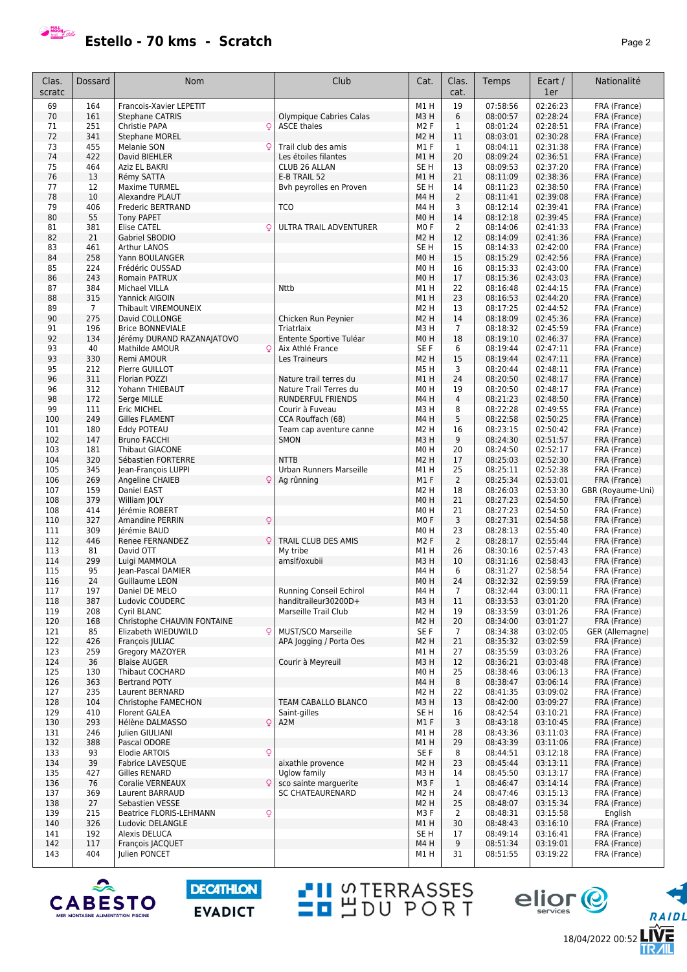

**Estello - 70 kms - Scratch Page 2** 

| M1H<br>19<br>07:58:56<br>02:26:23<br>69<br>164<br>Francois-Xavier LEPETIT<br>FRA (France)<br>161<br>6<br>08:00:57<br>02:28:24<br>70<br><b>Stephane CATRIS</b><br>Olympique Cabries Calas<br>M <sub>3</sub> H<br>FRA (France)<br>251<br>71<br>Christie PAPA<br>$\mathsf{Q}$<br><b>ASCE thales</b><br>M <sub>2</sub> F<br>1<br>08:01:24<br>02:28:51<br>FRA (France)<br>11<br>02:30:28<br>72<br>341<br><b>Stephane MOREL</b><br>M <sub>2</sub> H<br>08:03:01<br>FRA (France)<br>73<br>455<br>Melanie SON<br>Trail club des amis<br>M1F<br>1<br>08:04:11<br>02:31:38<br>FRA (France)<br>$\circ$<br>74<br>422<br>20<br>02:36:51<br>David BIEHLER<br>Les étoiles filantes<br>M1H<br>08:09:24<br>FRA (France)<br>75<br>464<br>13<br>02:37:20<br>Aziz EL BAKRI<br>CLUB 26 ALLAN<br>SE <sub>H</sub><br>08:09:53<br>FRA (France)<br>02:38:36<br>76<br>21<br>13<br>Rémy SATTA<br>E-B TRAIL 52<br>M1H<br>08:11:09<br>FRA (France)<br>77<br>12<br>Bvh peyrolles en Proven<br>02:38:50<br><b>Maxime TURMEL</b><br>SE <sub>H</sub><br>14<br>08:11:23<br>FRA (France)<br>$\overline{2}$<br>02:39:08<br>78<br>10<br>M4H<br>08:11:41<br>FRA (France)<br>Alexandre PLAUT<br>406<br>3<br>08:12:14<br>02:39:41<br>79<br>Frederic BERTRAND<br><b>TCO</b><br>M4H<br>FRA (France)<br>80<br>55<br>M <sub>0</sub> H<br>14<br>08:12:18<br>02:39:45<br>FRA (France)<br><b>Tony PAPET</b><br>381<br>ULTRA TRAIL ADVENTURER<br>MO <sub>F</sub><br>$\overline{2}$<br>02:41:33<br>81<br><b>Elise CATEL</b><br>Q<br>08:14:06<br>FRA (France)<br>82<br>21<br>12<br>02:41:36<br>Gabriel SBODIO<br>M <sub>2</sub> H<br>08:14:09<br>FRA (France)<br>461<br>15<br>02:42:00<br>83<br>Arthur LANOS<br>SE H<br>08:14:33<br>FRA (France)<br>258<br>15<br>02:42:56<br>84<br>Yann BOULANGER<br>M <sub>0</sub> H<br>08:15:29<br>FRA (France)<br>224<br>M <sub>0</sub> H<br>02:43:00<br>85<br>Frédéric OUSSAD<br>16<br>08:15:33<br>FRA (France)<br>86<br>243<br>17<br>02:43:03<br>Romain PATRUX<br>M <sub>0</sub> H<br>08:15:36<br>FRA (France)<br>384<br><b>Nttb</b><br>22<br>02:44:15<br>87<br>Michael VILLA<br>M1H<br>08:16:48<br>FRA (France)<br>88<br>315<br>23<br>02:44:20<br>Yannick AIGOIN<br>M1H<br>08:16:53<br>FRA (France)<br>02:44:52<br>08:17:25<br>89<br>$\overline{7}$<br><b>Thibault VIREMOUNEIX</b><br>M <sub>2</sub> H<br>13<br>FRA (France)<br>275<br>90<br>14<br>08:18:09<br>02:45:36<br>David COLLONGE<br>Chicken Run Peynier<br>M <sub>2</sub> H<br>FRA (France)<br>$\overline{7}$<br>02:45:59<br>196<br>08:18:32<br>91<br><b>Brice BONNEVIALE</b><br>Triatrlaix<br>M3H<br>FRA (France)<br>92<br>134<br>18<br>08:19:10<br>02:46:37<br>Jérémy DURAND RAZANAJATOVO<br>Entente Sportive Tuléar<br>M <sub>0</sub> H<br>FRA (France)<br>93<br>40<br>SE F<br>6<br>08:19:44<br>02:47:11<br>Mathilde AMOUR<br>$\circ$<br>Aix Athlé France<br>FRA (France)<br>93<br>330<br>M <sub>2</sub> H<br>15<br>02:47:11<br>Remi AMOUR<br>Les Traineurs<br>08:19:44<br>FRA (France)<br>3<br>95<br>212<br>Pierre GUILLOT<br>M5H<br>08:20:44<br>02:48:11<br>FRA (France)<br>311<br>24<br>02:48:17<br>96<br>Florian POZZI<br>Nature trail terres du<br>M1H<br>08:20:50<br>FRA (France)<br>312<br>19<br>96<br>Yohann THIEBAUT<br>Nature Trail Terres du<br>M <sub>0</sub> H<br>08:20:50<br>02:48:17<br>FRA (France)<br>$\sqrt{4}$<br>172<br>02:48:50<br>98<br>Serge MILLE<br>RUNDERFUL FRIENDS<br>M4H<br>08:21:23<br>FRA (France)<br>99<br>111<br>8<br>02:49:55<br>Eric MICHEL<br>Courir à Fuveau<br>M3H<br>08:22:28<br>FRA (France)<br>249<br>5<br>08:22:58<br>02:50:25<br>100<br><b>Gilles FLAMENT</b><br>CCA Rouffach (68)<br>M <sub>4</sub> H<br>FRA (France)<br>101<br>180<br>16<br>02:50:42<br>Eddy POTEAU<br>M <sub>2</sub> H<br>08:23:15<br>FRA (France)<br>Team cap aventure canne<br>9<br>02:51:57<br>147<br>08:24:30<br>102<br><b>Bruno FACCHI</b><br>SMON<br>M3H<br>FRA (France)<br>181<br>08:24:50<br>02:52:17<br>103<br><b>Thibaut GIACONE</b><br>M <sub>0</sub> H<br>20<br>FRA (France)<br>02:52:30<br>104<br>320<br><b>NTTB</b><br>M <sub>2</sub> H<br>17<br>08:25:03<br>Sébastien FORTERRE<br>FRA (France)<br>02:52:38<br>345<br>25<br>08:25:11<br>105<br>Urban Runners Marseille<br>M1H<br>FRA (France)<br>Jean-François LUPPI<br>269<br>2<br>08:25:34<br>02:53:01<br>106<br>Angeline CHAIEB<br>M1F<br>FRA (France)<br>O<br>Ag rûnning<br>159<br>M <sub>2</sub> H<br>18<br>08:26:03<br>02:53:30<br>GBR (Royaume-Uni)<br>107<br>Daniel EAST<br>379<br>21<br>108<br>M <sub>0</sub> H<br>08:27:23<br>02:54:50<br>FRA (France)<br>William JOLY<br>414<br>21<br>02:54:50<br>108<br>Jérémie ROBERT<br>M <sub>0</sub> H<br>08:27:23<br>FRA (France)<br>Q<br>3<br>327<br>MO <sub>F</sub><br>110<br><b>Amandine PERRIN</b><br>08:27:31<br>02:54:58<br>FRA (France)<br>309<br>23<br>02:55:40<br>111<br>Jérémie BAUD<br>M <sub>0</sub> H<br>08:28:13<br>FRA (France)<br>$\overline{2}$<br>112<br>446<br>TRAIL CLUB DES AMIS<br>M <sub>2</sub> F<br>02:55:44<br>Renee FERNANDEZ<br>$\circ$<br>08:28:17<br>FRA (France)<br>26<br>08:30:16<br>02:57:43<br>113<br>81<br>David OTT<br>My tribe<br>M1H<br>FRA (France)<br>114<br>299<br>02:58:43<br>Luigi MAMMOLA<br>amslf/oxubii<br>M3H<br>10<br>08:31:16<br>FRA (France)<br>6<br>95<br>M4H<br>08:31:27<br>02:58:54<br>115<br>Jean-Pascal DAMIER<br>FRA (France)<br>116<br>24<br>M <sub>0</sub> H<br>24<br>08:32:32<br>02:59:59<br>Guillaume LEON<br>FRA (France)<br>117<br>197<br>Daniel DE MELO<br><b>Running Conseil Echirol</b><br>M4H<br>$\overline{7}$<br>08:32:44<br>03:00:11<br>FRA (France)<br>387<br>03:01:20<br>118<br>Ludovic COUDERC<br>handitraileur30200D+<br>M3H<br>11<br>08:33:53<br>FRA (France)<br>Marseille Trail Club<br>03:01:26<br>119<br>208<br>Cyril BLANC<br>M <sub>2</sub> H<br>19<br>08:33:59<br>FRA (France)<br>120<br>168<br>Christophe CHAUVIN FONTAINE<br>M2 H<br>20<br>08:34:00<br>03:01:27<br>FRA (France)<br>$\circ$<br>121<br>85<br>Elizabeth WIEDUWILD<br><b>MUST/SCO Marseille</b><br>SE F<br>03:02:05<br>GER (Allemagne)<br>$\overline{7}$<br>08:34:38<br>426<br>21<br>03:02:59<br>122<br>François  ULIAC<br>APA logging / Porta Oes<br>M2 H<br>08:35:32<br>FRA (France)<br>123<br>259<br>Gregory MAZOYER<br>M1H<br>27<br>08:35:59<br>03:03:26<br>FRA (France)<br>12<br>08:36:21<br>03:03:48<br>124<br>36<br><b>Blaise AUGER</b><br>Courir à Meyreuil<br>M3H<br>FRA (France)<br>25<br>03:06:13<br>125<br>130<br>Thibaut COCHARD<br>M <sub>0</sub> H<br>08:38:46<br>FRA (France)<br>8<br>08:38:47<br>03:06:14<br>126<br>363<br><b>Bertrand POTY</b><br>M4H<br>FRA (France)<br>127<br>235<br>Laurent BERNARD<br>M <sub>2</sub> H<br>22<br>08:41:35<br>03:09:02<br>FRA (France)<br>128<br>03:09:27<br>104<br>TEAM CABALLO BLANCO<br>M3H<br>13<br>08:42:00<br>FRA (France)<br>Christophe FAMECHON<br>410<br>SE <sub>H</sub><br>03:10:21<br>129<br><b>Florent GALEA</b><br>16<br>08:42:54<br>FRA (France)<br>Saint-gilles<br>293<br>Q<br>M1F<br>3<br>03:10:45<br>130<br>Hélène DALMASSO<br>A <sub>2</sub> M<br>08:43:18<br>FRA (France)<br>131<br>246<br>Julien GIULIANI<br>M1 H<br>28<br>08:43:36<br>03:11:03<br>FRA (France)<br>132<br>388<br>Pascal ODORE<br>M1H<br>29<br>08:43:39<br>03:11:06<br>FRA (France)<br>$\mathsf{Q}$<br>93<br>133<br>Elodie ARTOIS<br>SE F<br>8<br>08:44:51<br>03:12:18<br>FRA (France)<br>23<br>134<br>39<br>Fabrice LAVESQUE<br>aixathle provence<br>M <sub>2</sub> H<br>08:45:44<br>03:13:11<br>FRA (France)<br>427<br>135<br><b>Gilles RENARD</b><br>Uglow family<br>M3H<br>14<br>08:45:50<br>03:13:17<br>FRA (France)<br>136<br>$\mathsf{Q}$<br>$\mathbf{1}$<br>76<br>Coralie VERNEAUX<br>sco sainte marguerite<br>M3F<br>08:46:47<br>03:14:14<br>FRA (France)<br>03:15:13<br>137<br>369<br><b>SC CHATEAURENARD</b><br>M <sub>2</sub> H<br>24<br>08:47:46<br>FRA (France)<br>Laurent BARRAUD<br>138<br>27<br>M <sub>2</sub> H<br>25<br>08:48:07<br>03:15:34<br>FRA (France)<br>Sebastien VESSE<br>$\mathsf{Q}$<br>08:48:31<br>03:15:58<br>English<br>139<br>215<br><b>Beatrice FLORIS-LEHMANN</b><br>M3F<br>$\overline{2}$<br>326<br>M1H<br>140<br>30<br>08:48:43<br>03:16:10<br>FRA (France)<br>Ludovic DELANGLE<br>SE <sub>H</sub><br>141<br>192<br>Alexis DELUCA<br>17<br>08:49:14<br>03:16:41<br>FRA (France)<br>142<br>117<br>M4H<br>9<br>08:51:34<br>03:19:01<br>François JACQUET<br>FRA (France)<br>31<br>143<br>404<br>Julien PONCET<br>M1H<br>08:51:55<br>03:19:22<br>FRA (France) | Clas.<br>scratc | Dossard | <b>Nom</b> | Club | Cat. | Clas.<br>cat. | Temps | Ecart /<br>1er | Nationalité |
|-------------------------------------------------------------------------------------------------------------------------------------------------------------------------------------------------------------------------------------------------------------------------------------------------------------------------------------------------------------------------------------------------------------------------------------------------------------------------------------------------------------------------------------------------------------------------------------------------------------------------------------------------------------------------------------------------------------------------------------------------------------------------------------------------------------------------------------------------------------------------------------------------------------------------------------------------------------------------------------------------------------------------------------------------------------------------------------------------------------------------------------------------------------------------------------------------------------------------------------------------------------------------------------------------------------------------------------------------------------------------------------------------------------------------------------------------------------------------------------------------------------------------------------------------------------------------------------------------------------------------------------------------------------------------------------------------------------------------------------------------------------------------------------------------------------------------------------------------------------------------------------------------------------------------------------------------------------------------------------------------------------------------------------------------------------------------------------------------------------------------------------------------------------------------------------------------------------------------------------------------------------------------------------------------------------------------------------------------------------------------------------------------------------------------------------------------------------------------------------------------------------------------------------------------------------------------------------------------------------------------------------------------------------------------------------------------------------------------------------------------------------------------------------------------------------------------------------------------------------------------------------------------------------------------------------------------------------------------------------------------------------------------------------------------------------------------------------------------------------------------------------------------------------------------------------------------------------------------------------------------------------------------------------------------------------------------------------------------------------------------------------------------------------------------------------------------------------------------------------------------------------------------------------------------------------------------------------------------------------------------------------------------------------------------------------------------------------------------------------------------------------------------------------------------------------------------------------------------------------------------------------------------------------------------------------------------------------------------------------------------------------------------------------------------------------------------------------------------------------------------------------------------------------------------------------------------------------------------------------------------------------------------------------------------------------------------------------------------------------------------------------------------------------------------------------------------------------------------------------------------------------------------------------------------------------------------------------------------------------------------------------------------------------------------------------------------------------------------------------------------------------------------------------------------------------------------------------------------------------------------------------------------------------------------------------------------------------------------------------------------------------------------------------------------------------------------------------------------------------------------------------------------------------------------------------------------------------------------------------------------------------------------------------------------------------------------------------------------------------------------------------------------------------------------------------------------------------------------------------------------------------------------------------------------------------------------------------------------------------------------------------------------------------------------------------------------------------------------------------------------------------------------------------------------------------------------------------------------------------------------------------------------------------------------------------------------------------------------------------------------------------------------------------------------------------------------------------------------------------------------------------------------------------------------------------------------------------------------------------------------------------------------------------------------------------------------------------------------------------------------------------------------------------------------------------------------------------------------------------------------------------------------------------------------------------------------------------------------------------------------------------------------------------------------------------------------------------------------------------------------------------------------------------------------------------------------------------------------------------------------------------------------------------------------------------------------------------------------------------------------------------------------------------------------------------------------------------------------------------------------------------------------------------------------------------------------------------------------------------------------------------------------------------------------------------------------------------------------------------------------------------------------------------------------------------------------------------------------------------------------------------------------------------------------------------------------------------------------------------------------------------------------------------------------------------------------------------------------------------------------------------------------------------------------------------------------------------------------------------------------------------------------------------------------------------------------------------------------------------------------------------------------------------------------------------------------------------------------------------------------------------------------------------------------------------------------------------------------------------------------------------------------------------------------------------------------------------------------------------------|-----------------|---------|------------|------|------|---------------|-------|----------------|-------------|
|                                                                                                                                                                                                                                                                                                                                                                                                                                                                                                                                                                                                                                                                                                                                                                                                                                                                                                                                                                                                                                                                                                                                                                                                                                                                                                                                                                                                                                                                                                                                                                                                                                                                                                                                                                                                                                                                                                                                                                                                                                                                                                                                                                                                                                                                                                                                                                                                                                                                                                                                                                                                                                                                                                                                                                                                                                                                                                                                                                                                                                                                                                                                                                                                                                                                                                                                                                                                                                                                                                                                                                                                                                                                                                                                                                                                                                                                                                                                                                                                                                                                                                                                                                                                                                                                                                                                                                                                                                                                                                                                                                                                                                                                                                                                                                                                                                                                                                                                                                                                                                                                                                                                                                                                                                                                                                                                                                                                                                                                                                                                                                                                                                                                                                                                                                                                                                                                                                                                                                                                                                                                                                                                                                                                                                                                                                                                                                                                                                                                                                                                                                                                                                                                                                                                                                                                                                                                                                                                                                                                                                                                                                                                                                                                                                                                                                                                                                                                                                                                                                                                                                                                                                                                                                                                                                                                                                                                                                                                                                                                                                                                                                                                                                                                                                                                                                                                                                   |                 |         |            |      |      |               |       |                |             |
|                                                                                                                                                                                                                                                                                                                                                                                                                                                                                                                                                                                                                                                                                                                                                                                                                                                                                                                                                                                                                                                                                                                                                                                                                                                                                                                                                                                                                                                                                                                                                                                                                                                                                                                                                                                                                                                                                                                                                                                                                                                                                                                                                                                                                                                                                                                                                                                                                                                                                                                                                                                                                                                                                                                                                                                                                                                                                                                                                                                                                                                                                                                                                                                                                                                                                                                                                                                                                                                                                                                                                                                                                                                                                                                                                                                                                                                                                                                                                                                                                                                                                                                                                                                                                                                                                                                                                                                                                                                                                                                                                                                                                                                                                                                                                                                                                                                                                                                                                                                                                                                                                                                                                                                                                                                                                                                                                                                                                                                                                                                                                                                                                                                                                                                                                                                                                                                                                                                                                                                                                                                                                                                                                                                                                                                                                                                                                                                                                                                                                                                                                                                                                                                                                                                                                                                                                                                                                                                                                                                                                                                                                                                                                                                                                                                                                                                                                                                                                                                                                                                                                                                                                                                                                                                                                                                                                                                                                                                                                                                                                                                                                                                                                                                                                                                                                                                                                                   |                 |         |            |      |      |               |       |                |             |
|                                                                                                                                                                                                                                                                                                                                                                                                                                                                                                                                                                                                                                                                                                                                                                                                                                                                                                                                                                                                                                                                                                                                                                                                                                                                                                                                                                                                                                                                                                                                                                                                                                                                                                                                                                                                                                                                                                                                                                                                                                                                                                                                                                                                                                                                                                                                                                                                                                                                                                                                                                                                                                                                                                                                                                                                                                                                                                                                                                                                                                                                                                                                                                                                                                                                                                                                                                                                                                                                                                                                                                                                                                                                                                                                                                                                                                                                                                                                                                                                                                                                                                                                                                                                                                                                                                                                                                                                                                                                                                                                                                                                                                                                                                                                                                                                                                                                                                                                                                                                                                                                                                                                                                                                                                                                                                                                                                                                                                                                                                                                                                                                                                                                                                                                                                                                                                                                                                                                                                                                                                                                                                                                                                                                                                                                                                                                                                                                                                                                                                                                                                                                                                                                                                                                                                                                                                                                                                                                                                                                                                                                                                                                                                                                                                                                                                                                                                                                                                                                                                                                                                                                                                                                                                                                                                                                                                                                                                                                                                                                                                                                                                                                                                                                                                                                                                                                                                   |                 |         |            |      |      |               |       |                |             |
|                                                                                                                                                                                                                                                                                                                                                                                                                                                                                                                                                                                                                                                                                                                                                                                                                                                                                                                                                                                                                                                                                                                                                                                                                                                                                                                                                                                                                                                                                                                                                                                                                                                                                                                                                                                                                                                                                                                                                                                                                                                                                                                                                                                                                                                                                                                                                                                                                                                                                                                                                                                                                                                                                                                                                                                                                                                                                                                                                                                                                                                                                                                                                                                                                                                                                                                                                                                                                                                                                                                                                                                                                                                                                                                                                                                                                                                                                                                                                                                                                                                                                                                                                                                                                                                                                                                                                                                                                                                                                                                                                                                                                                                                                                                                                                                                                                                                                                                                                                                                                                                                                                                                                                                                                                                                                                                                                                                                                                                                                                                                                                                                                                                                                                                                                                                                                                                                                                                                                                                                                                                                                                                                                                                                                                                                                                                                                                                                                                                                                                                                                                                                                                                                                                                                                                                                                                                                                                                                                                                                                                                                                                                                                                                                                                                                                                                                                                                                                                                                                                                                                                                                                                                                                                                                                                                                                                                                                                                                                                                                                                                                                                                                                                                                                                                                                                                                                                   |                 |         |            |      |      |               |       |                |             |
|                                                                                                                                                                                                                                                                                                                                                                                                                                                                                                                                                                                                                                                                                                                                                                                                                                                                                                                                                                                                                                                                                                                                                                                                                                                                                                                                                                                                                                                                                                                                                                                                                                                                                                                                                                                                                                                                                                                                                                                                                                                                                                                                                                                                                                                                                                                                                                                                                                                                                                                                                                                                                                                                                                                                                                                                                                                                                                                                                                                                                                                                                                                                                                                                                                                                                                                                                                                                                                                                                                                                                                                                                                                                                                                                                                                                                                                                                                                                                                                                                                                                                                                                                                                                                                                                                                                                                                                                                                                                                                                                                                                                                                                                                                                                                                                                                                                                                                                                                                                                                                                                                                                                                                                                                                                                                                                                                                                                                                                                                                                                                                                                                                                                                                                                                                                                                                                                                                                                                                                                                                                                                                                                                                                                                                                                                                                                                                                                                                                                                                                                                                                                                                                                                                                                                                                                                                                                                                                                                                                                                                                                                                                                                                                                                                                                                                                                                                                                                                                                                                                                                                                                                                                                                                                                                                                                                                                                                                                                                                                                                                                                                                                                                                                                                                                                                                                                                                   |                 |         |            |      |      |               |       |                |             |
|                                                                                                                                                                                                                                                                                                                                                                                                                                                                                                                                                                                                                                                                                                                                                                                                                                                                                                                                                                                                                                                                                                                                                                                                                                                                                                                                                                                                                                                                                                                                                                                                                                                                                                                                                                                                                                                                                                                                                                                                                                                                                                                                                                                                                                                                                                                                                                                                                                                                                                                                                                                                                                                                                                                                                                                                                                                                                                                                                                                                                                                                                                                                                                                                                                                                                                                                                                                                                                                                                                                                                                                                                                                                                                                                                                                                                                                                                                                                                                                                                                                                                                                                                                                                                                                                                                                                                                                                                                                                                                                                                                                                                                                                                                                                                                                                                                                                                                                                                                                                                                                                                                                                                                                                                                                                                                                                                                                                                                                                                                                                                                                                                                                                                                                                                                                                                                                                                                                                                                                                                                                                                                                                                                                                                                                                                                                                                                                                                                                                                                                                                                                                                                                                                                                                                                                                                                                                                                                                                                                                                                                                                                                                                                                                                                                                                                                                                                                                                                                                                                                                                                                                                                                                                                                                                                                                                                                                                                                                                                                                                                                                                                                                                                                                                                                                                                                                                                   |                 |         |            |      |      |               |       |                |             |
|                                                                                                                                                                                                                                                                                                                                                                                                                                                                                                                                                                                                                                                                                                                                                                                                                                                                                                                                                                                                                                                                                                                                                                                                                                                                                                                                                                                                                                                                                                                                                                                                                                                                                                                                                                                                                                                                                                                                                                                                                                                                                                                                                                                                                                                                                                                                                                                                                                                                                                                                                                                                                                                                                                                                                                                                                                                                                                                                                                                                                                                                                                                                                                                                                                                                                                                                                                                                                                                                                                                                                                                                                                                                                                                                                                                                                                                                                                                                                                                                                                                                                                                                                                                                                                                                                                                                                                                                                                                                                                                                                                                                                                                                                                                                                                                                                                                                                                                                                                                                                                                                                                                                                                                                                                                                                                                                                                                                                                                                                                                                                                                                                                                                                                                                                                                                                                                                                                                                                                                                                                                                                                                                                                                                                                                                                                                                                                                                                                                                                                                                                                                                                                                                                                                                                                                                                                                                                                                                                                                                                                                                                                                                                                                                                                                                                                                                                                                                                                                                                                                                                                                                                                                                                                                                                                                                                                                                                                                                                                                                                                                                                                                                                                                                                                                                                                                                                                   |                 |         |            |      |      |               |       |                |             |
|                                                                                                                                                                                                                                                                                                                                                                                                                                                                                                                                                                                                                                                                                                                                                                                                                                                                                                                                                                                                                                                                                                                                                                                                                                                                                                                                                                                                                                                                                                                                                                                                                                                                                                                                                                                                                                                                                                                                                                                                                                                                                                                                                                                                                                                                                                                                                                                                                                                                                                                                                                                                                                                                                                                                                                                                                                                                                                                                                                                                                                                                                                                                                                                                                                                                                                                                                                                                                                                                                                                                                                                                                                                                                                                                                                                                                                                                                                                                                                                                                                                                                                                                                                                                                                                                                                                                                                                                                                                                                                                                                                                                                                                                                                                                                                                                                                                                                                                                                                                                                                                                                                                                                                                                                                                                                                                                                                                                                                                                                                                                                                                                                                                                                                                                                                                                                                                                                                                                                                                                                                                                                                                                                                                                                                                                                                                                                                                                                                                                                                                                                                                                                                                                                                                                                                                                                                                                                                                                                                                                                                                                                                                                                                                                                                                                                                                                                                                                                                                                                                                                                                                                                                                                                                                                                                                                                                                                                                                                                                                                                                                                                                                                                                                                                                                                                                                                                                   |                 |         |            |      |      |               |       |                |             |
|                                                                                                                                                                                                                                                                                                                                                                                                                                                                                                                                                                                                                                                                                                                                                                                                                                                                                                                                                                                                                                                                                                                                                                                                                                                                                                                                                                                                                                                                                                                                                                                                                                                                                                                                                                                                                                                                                                                                                                                                                                                                                                                                                                                                                                                                                                                                                                                                                                                                                                                                                                                                                                                                                                                                                                                                                                                                                                                                                                                                                                                                                                                                                                                                                                                                                                                                                                                                                                                                                                                                                                                                                                                                                                                                                                                                                                                                                                                                                                                                                                                                                                                                                                                                                                                                                                                                                                                                                                                                                                                                                                                                                                                                                                                                                                                                                                                                                                                                                                                                                                                                                                                                                                                                                                                                                                                                                                                                                                                                                                                                                                                                                                                                                                                                                                                                                                                                                                                                                                                                                                                                                                                                                                                                                                                                                                                                                                                                                                                                                                                                                                                                                                                                                                                                                                                                                                                                                                                                                                                                                                                                                                                                                                                                                                                                                                                                                                                                                                                                                                                                                                                                                                                                                                                                                                                                                                                                                                                                                                                                                                                                                                                                                                                                                                                                                                                                                                   |                 |         |            |      |      |               |       |                |             |
|                                                                                                                                                                                                                                                                                                                                                                                                                                                                                                                                                                                                                                                                                                                                                                                                                                                                                                                                                                                                                                                                                                                                                                                                                                                                                                                                                                                                                                                                                                                                                                                                                                                                                                                                                                                                                                                                                                                                                                                                                                                                                                                                                                                                                                                                                                                                                                                                                                                                                                                                                                                                                                                                                                                                                                                                                                                                                                                                                                                                                                                                                                                                                                                                                                                                                                                                                                                                                                                                                                                                                                                                                                                                                                                                                                                                                                                                                                                                                                                                                                                                                                                                                                                                                                                                                                                                                                                                                                                                                                                                                                                                                                                                                                                                                                                                                                                                                                                                                                                                                                                                                                                                                                                                                                                                                                                                                                                                                                                                                                                                                                                                                                                                                                                                                                                                                                                                                                                                                                                                                                                                                                                                                                                                                                                                                                                                                                                                                                                                                                                                                                                                                                                                                                                                                                                                                                                                                                                                                                                                                                                                                                                                                                                                                                                                                                                                                                                                                                                                                                                                                                                                                                                                                                                                                                                                                                                                                                                                                                                                                                                                                                                                                                                                                                                                                                                                                                   |                 |         |            |      |      |               |       |                |             |
|                                                                                                                                                                                                                                                                                                                                                                                                                                                                                                                                                                                                                                                                                                                                                                                                                                                                                                                                                                                                                                                                                                                                                                                                                                                                                                                                                                                                                                                                                                                                                                                                                                                                                                                                                                                                                                                                                                                                                                                                                                                                                                                                                                                                                                                                                                                                                                                                                                                                                                                                                                                                                                                                                                                                                                                                                                                                                                                                                                                                                                                                                                                                                                                                                                                                                                                                                                                                                                                                                                                                                                                                                                                                                                                                                                                                                                                                                                                                                                                                                                                                                                                                                                                                                                                                                                                                                                                                                                                                                                                                                                                                                                                                                                                                                                                                                                                                                                                                                                                                                                                                                                                                                                                                                                                                                                                                                                                                                                                                                                                                                                                                                                                                                                                                                                                                                                                                                                                                                                                                                                                                                                                                                                                                                                                                                                                                                                                                                                                                                                                                                                                                                                                                                                                                                                                                                                                                                                                                                                                                                                                                                                                                                                                                                                                                                                                                                                                                                                                                                                                                                                                                                                                                                                                                                                                                                                                                                                                                                                                                                                                                                                                                                                                                                                                                                                                                                                   |                 |         |            |      |      |               |       |                |             |
|                                                                                                                                                                                                                                                                                                                                                                                                                                                                                                                                                                                                                                                                                                                                                                                                                                                                                                                                                                                                                                                                                                                                                                                                                                                                                                                                                                                                                                                                                                                                                                                                                                                                                                                                                                                                                                                                                                                                                                                                                                                                                                                                                                                                                                                                                                                                                                                                                                                                                                                                                                                                                                                                                                                                                                                                                                                                                                                                                                                                                                                                                                                                                                                                                                                                                                                                                                                                                                                                                                                                                                                                                                                                                                                                                                                                                                                                                                                                                                                                                                                                                                                                                                                                                                                                                                                                                                                                                                                                                                                                                                                                                                                                                                                                                                                                                                                                                                                                                                                                                                                                                                                                                                                                                                                                                                                                                                                                                                                                                                                                                                                                                                                                                                                                                                                                                                                                                                                                                                                                                                                                                                                                                                                                                                                                                                                                                                                                                                                                                                                                                                                                                                                                                                                                                                                                                                                                                                                                                                                                                                                                                                                                                                                                                                                                                                                                                                                                                                                                                                                                                                                                                                                                                                                                                                                                                                                                                                                                                                                                                                                                                                                                                                                                                                                                                                                                                                   |                 |         |            |      |      |               |       |                |             |
|                                                                                                                                                                                                                                                                                                                                                                                                                                                                                                                                                                                                                                                                                                                                                                                                                                                                                                                                                                                                                                                                                                                                                                                                                                                                                                                                                                                                                                                                                                                                                                                                                                                                                                                                                                                                                                                                                                                                                                                                                                                                                                                                                                                                                                                                                                                                                                                                                                                                                                                                                                                                                                                                                                                                                                                                                                                                                                                                                                                                                                                                                                                                                                                                                                                                                                                                                                                                                                                                                                                                                                                                                                                                                                                                                                                                                                                                                                                                                                                                                                                                                                                                                                                                                                                                                                                                                                                                                                                                                                                                                                                                                                                                                                                                                                                                                                                                                                                                                                                                                                                                                                                                                                                                                                                                                                                                                                                                                                                                                                                                                                                                                                                                                                                                                                                                                                                                                                                                                                                                                                                                                                                                                                                                                                                                                                                                                                                                                                                                                                                                                                                                                                                                                                                                                                                                                                                                                                                                                                                                                                                                                                                                                                                                                                                                                                                                                                                                                                                                                                                                                                                                                                                                                                                                                                                                                                                                                                                                                                                                                                                                                                                                                                                                                                                                                                                                                                   |                 |         |            |      |      |               |       |                |             |
|                                                                                                                                                                                                                                                                                                                                                                                                                                                                                                                                                                                                                                                                                                                                                                                                                                                                                                                                                                                                                                                                                                                                                                                                                                                                                                                                                                                                                                                                                                                                                                                                                                                                                                                                                                                                                                                                                                                                                                                                                                                                                                                                                                                                                                                                                                                                                                                                                                                                                                                                                                                                                                                                                                                                                                                                                                                                                                                                                                                                                                                                                                                                                                                                                                                                                                                                                                                                                                                                                                                                                                                                                                                                                                                                                                                                                                                                                                                                                                                                                                                                                                                                                                                                                                                                                                                                                                                                                                                                                                                                                                                                                                                                                                                                                                                                                                                                                                                                                                                                                                                                                                                                                                                                                                                                                                                                                                                                                                                                                                                                                                                                                                                                                                                                                                                                                                                                                                                                                                                                                                                                                                                                                                                                                                                                                                                                                                                                                                                                                                                                                                                                                                                                                                                                                                                                                                                                                                                                                                                                                                                                                                                                                                                                                                                                                                                                                                                                                                                                                                                                                                                                                                                                                                                                                                                                                                                                                                                                                                                                                                                                                                                                                                                                                                                                                                                                                                   |                 |         |            |      |      |               |       |                |             |
|                                                                                                                                                                                                                                                                                                                                                                                                                                                                                                                                                                                                                                                                                                                                                                                                                                                                                                                                                                                                                                                                                                                                                                                                                                                                                                                                                                                                                                                                                                                                                                                                                                                                                                                                                                                                                                                                                                                                                                                                                                                                                                                                                                                                                                                                                                                                                                                                                                                                                                                                                                                                                                                                                                                                                                                                                                                                                                                                                                                                                                                                                                                                                                                                                                                                                                                                                                                                                                                                                                                                                                                                                                                                                                                                                                                                                                                                                                                                                                                                                                                                                                                                                                                                                                                                                                                                                                                                                                                                                                                                                                                                                                                                                                                                                                                                                                                                                                                                                                                                                                                                                                                                                                                                                                                                                                                                                                                                                                                                                                                                                                                                                                                                                                                                                                                                                                                                                                                                                                                                                                                                                                                                                                                                                                                                                                                                                                                                                                                                                                                                                                                                                                                                                                                                                                                                                                                                                                                                                                                                                                                                                                                                                                                                                                                                                                                                                                                                                                                                                                                                                                                                                                                                                                                                                                                                                                                                                                                                                                                                                                                                                                                                                                                                                                                                                                                                                                   |                 |         |            |      |      |               |       |                |             |
|                                                                                                                                                                                                                                                                                                                                                                                                                                                                                                                                                                                                                                                                                                                                                                                                                                                                                                                                                                                                                                                                                                                                                                                                                                                                                                                                                                                                                                                                                                                                                                                                                                                                                                                                                                                                                                                                                                                                                                                                                                                                                                                                                                                                                                                                                                                                                                                                                                                                                                                                                                                                                                                                                                                                                                                                                                                                                                                                                                                                                                                                                                                                                                                                                                                                                                                                                                                                                                                                                                                                                                                                                                                                                                                                                                                                                                                                                                                                                                                                                                                                                                                                                                                                                                                                                                                                                                                                                                                                                                                                                                                                                                                                                                                                                                                                                                                                                                                                                                                                                                                                                                                                                                                                                                                                                                                                                                                                                                                                                                                                                                                                                                                                                                                                                                                                                                                                                                                                                                                                                                                                                                                                                                                                                                                                                                                                                                                                                                                                                                                                                                                                                                                                                                                                                                                                                                                                                                                                                                                                                                                                                                                                                                                                                                                                                                                                                                                                                                                                                                                                                                                                                                                                                                                                                                                                                                                                                                                                                                                                                                                                                                                                                                                                                                                                                                                                                                   |                 |         |            |      |      |               |       |                |             |
|                                                                                                                                                                                                                                                                                                                                                                                                                                                                                                                                                                                                                                                                                                                                                                                                                                                                                                                                                                                                                                                                                                                                                                                                                                                                                                                                                                                                                                                                                                                                                                                                                                                                                                                                                                                                                                                                                                                                                                                                                                                                                                                                                                                                                                                                                                                                                                                                                                                                                                                                                                                                                                                                                                                                                                                                                                                                                                                                                                                                                                                                                                                                                                                                                                                                                                                                                                                                                                                                                                                                                                                                                                                                                                                                                                                                                                                                                                                                                                                                                                                                                                                                                                                                                                                                                                                                                                                                                                                                                                                                                                                                                                                                                                                                                                                                                                                                                                                                                                                                                                                                                                                                                                                                                                                                                                                                                                                                                                                                                                                                                                                                                                                                                                                                                                                                                                                                                                                                                                                                                                                                                                                                                                                                                                                                                                                                                                                                                                                                                                                                                                                                                                                                                                                                                                                                                                                                                                                                                                                                                                                                                                                                                                                                                                                                                                                                                                                                                                                                                                                                                                                                                                                                                                                                                                                                                                                                                                                                                                                                                                                                                                                                                                                                                                                                                                                                                                   |                 |         |            |      |      |               |       |                |             |
|                                                                                                                                                                                                                                                                                                                                                                                                                                                                                                                                                                                                                                                                                                                                                                                                                                                                                                                                                                                                                                                                                                                                                                                                                                                                                                                                                                                                                                                                                                                                                                                                                                                                                                                                                                                                                                                                                                                                                                                                                                                                                                                                                                                                                                                                                                                                                                                                                                                                                                                                                                                                                                                                                                                                                                                                                                                                                                                                                                                                                                                                                                                                                                                                                                                                                                                                                                                                                                                                                                                                                                                                                                                                                                                                                                                                                                                                                                                                                                                                                                                                                                                                                                                                                                                                                                                                                                                                                                                                                                                                                                                                                                                                                                                                                                                                                                                                                                                                                                                                                                                                                                                                                                                                                                                                                                                                                                                                                                                                                                                                                                                                                                                                                                                                                                                                                                                                                                                                                                                                                                                                                                                                                                                                                                                                                                                                                                                                                                                                                                                                                                                                                                                                                                                                                                                                                                                                                                                                                                                                                                                                                                                                                                                                                                                                                                                                                                                                                                                                                                                                                                                                                                                                                                                                                                                                                                                                                                                                                                                                                                                                                                                                                                                                                                                                                                                                                                   |                 |         |            |      |      |               |       |                |             |
|                                                                                                                                                                                                                                                                                                                                                                                                                                                                                                                                                                                                                                                                                                                                                                                                                                                                                                                                                                                                                                                                                                                                                                                                                                                                                                                                                                                                                                                                                                                                                                                                                                                                                                                                                                                                                                                                                                                                                                                                                                                                                                                                                                                                                                                                                                                                                                                                                                                                                                                                                                                                                                                                                                                                                                                                                                                                                                                                                                                                                                                                                                                                                                                                                                                                                                                                                                                                                                                                                                                                                                                                                                                                                                                                                                                                                                                                                                                                                                                                                                                                                                                                                                                                                                                                                                                                                                                                                                                                                                                                                                                                                                                                                                                                                                                                                                                                                                                                                                                                                                                                                                                                                                                                                                                                                                                                                                                                                                                                                                                                                                                                                                                                                                                                                                                                                                                                                                                                                                                                                                                                                                                                                                                                                                                                                                                                                                                                                                                                                                                                                                                                                                                                                                                                                                                                                                                                                                                                                                                                                                                                                                                                                                                                                                                                                                                                                                                                                                                                                                                                                                                                                                                                                                                                                                                                                                                                                                                                                                                                                                                                                                                                                                                                                                                                                                                                                                   |                 |         |            |      |      |               |       |                |             |
|                                                                                                                                                                                                                                                                                                                                                                                                                                                                                                                                                                                                                                                                                                                                                                                                                                                                                                                                                                                                                                                                                                                                                                                                                                                                                                                                                                                                                                                                                                                                                                                                                                                                                                                                                                                                                                                                                                                                                                                                                                                                                                                                                                                                                                                                                                                                                                                                                                                                                                                                                                                                                                                                                                                                                                                                                                                                                                                                                                                                                                                                                                                                                                                                                                                                                                                                                                                                                                                                                                                                                                                                                                                                                                                                                                                                                                                                                                                                                                                                                                                                                                                                                                                                                                                                                                                                                                                                                                                                                                                                                                                                                                                                                                                                                                                                                                                                                                                                                                                                                                                                                                                                                                                                                                                                                                                                                                                                                                                                                                                                                                                                                                                                                                                                                                                                                                                                                                                                                                                                                                                                                                                                                                                                                                                                                                                                                                                                                                                                                                                                                                                                                                                                                                                                                                                                                                                                                                                                                                                                                                                                                                                                                                                                                                                                                                                                                                                                                                                                                                                                                                                                                                                                                                                                                                                                                                                                                                                                                                                                                                                                                                                                                                                                                                                                                                                                                                   |                 |         |            |      |      |               |       |                |             |
|                                                                                                                                                                                                                                                                                                                                                                                                                                                                                                                                                                                                                                                                                                                                                                                                                                                                                                                                                                                                                                                                                                                                                                                                                                                                                                                                                                                                                                                                                                                                                                                                                                                                                                                                                                                                                                                                                                                                                                                                                                                                                                                                                                                                                                                                                                                                                                                                                                                                                                                                                                                                                                                                                                                                                                                                                                                                                                                                                                                                                                                                                                                                                                                                                                                                                                                                                                                                                                                                                                                                                                                                                                                                                                                                                                                                                                                                                                                                                                                                                                                                                                                                                                                                                                                                                                                                                                                                                                                                                                                                                                                                                                                                                                                                                                                                                                                                                                                                                                                                                                                                                                                                                                                                                                                                                                                                                                                                                                                                                                                                                                                                                                                                                                                                                                                                                                                                                                                                                                                                                                                                                                                                                                                                                                                                                                                                                                                                                                                                                                                                                                                                                                                                                                                                                                                                                                                                                                                                                                                                                                                                                                                                                                                                                                                                                                                                                                                                                                                                                                                                                                                                                                                                                                                                                                                                                                                                                                                                                                                                                                                                                                                                                                                                                                                                                                                                                                   |                 |         |            |      |      |               |       |                |             |
|                                                                                                                                                                                                                                                                                                                                                                                                                                                                                                                                                                                                                                                                                                                                                                                                                                                                                                                                                                                                                                                                                                                                                                                                                                                                                                                                                                                                                                                                                                                                                                                                                                                                                                                                                                                                                                                                                                                                                                                                                                                                                                                                                                                                                                                                                                                                                                                                                                                                                                                                                                                                                                                                                                                                                                                                                                                                                                                                                                                                                                                                                                                                                                                                                                                                                                                                                                                                                                                                                                                                                                                                                                                                                                                                                                                                                                                                                                                                                                                                                                                                                                                                                                                                                                                                                                                                                                                                                                                                                                                                                                                                                                                                                                                                                                                                                                                                                                                                                                                                                                                                                                                                                                                                                                                                                                                                                                                                                                                                                                                                                                                                                                                                                                                                                                                                                                                                                                                                                                                                                                                                                                                                                                                                                                                                                                                                                                                                                                                                                                                                                                                                                                                                                                                                                                                                                                                                                                                                                                                                                                                                                                                                                                                                                                                                                                                                                                                                                                                                                                                                                                                                                                                                                                                                                                                                                                                                                                                                                                                                                                                                                                                                                                                                                                                                                                                                                                   |                 |         |            |      |      |               |       |                |             |
|                                                                                                                                                                                                                                                                                                                                                                                                                                                                                                                                                                                                                                                                                                                                                                                                                                                                                                                                                                                                                                                                                                                                                                                                                                                                                                                                                                                                                                                                                                                                                                                                                                                                                                                                                                                                                                                                                                                                                                                                                                                                                                                                                                                                                                                                                                                                                                                                                                                                                                                                                                                                                                                                                                                                                                                                                                                                                                                                                                                                                                                                                                                                                                                                                                                                                                                                                                                                                                                                                                                                                                                                                                                                                                                                                                                                                                                                                                                                                                                                                                                                                                                                                                                                                                                                                                                                                                                                                                                                                                                                                                                                                                                                                                                                                                                                                                                                                                                                                                                                                                                                                                                                                                                                                                                                                                                                                                                                                                                                                                                                                                                                                                                                                                                                                                                                                                                                                                                                                                                                                                                                                                                                                                                                                                                                                                                                                                                                                                                                                                                                                                                                                                                                                                                                                                                                                                                                                                                                                                                                                                                                                                                                                                                                                                                                                                                                                                                                                                                                                                                                                                                                                                                                                                                                                                                                                                                                                                                                                                                                                                                                                                                                                                                                                                                                                                                                                                   |                 |         |            |      |      |               |       |                |             |
|                                                                                                                                                                                                                                                                                                                                                                                                                                                                                                                                                                                                                                                                                                                                                                                                                                                                                                                                                                                                                                                                                                                                                                                                                                                                                                                                                                                                                                                                                                                                                                                                                                                                                                                                                                                                                                                                                                                                                                                                                                                                                                                                                                                                                                                                                                                                                                                                                                                                                                                                                                                                                                                                                                                                                                                                                                                                                                                                                                                                                                                                                                                                                                                                                                                                                                                                                                                                                                                                                                                                                                                                                                                                                                                                                                                                                                                                                                                                                                                                                                                                                                                                                                                                                                                                                                                                                                                                                                                                                                                                                                                                                                                                                                                                                                                                                                                                                                                                                                                                                                                                                                                                                                                                                                                                                                                                                                                                                                                                                                                                                                                                                                                                                                                                                                                                                                                                                                                                                                                                                                                                                                                                                                                                                                                                                                                                                                                                                                                                                                                                                                                                                                                                                                                                                                                                                                                                                                                                                                                                                                                                                                                                                                                                                                                                                                                                                                                                                                                                                                                                                                                                                                                                                                                                                                                                                                                                                                                                                                                                                                                                                                                                                                                                                                                                                                                                                                   |                 |         |            |      |      |               |       |                |             |
|                                                                                                                                                                                                                                                                                                                                                                                                                                                                                                                                                                                                                                                                                                                                                                                                                                                                                                                                                                                                                                                                                                                                                                                                                                                                                                                                                                                                                                                                                                                                                                                                                                                                                                                                                                                                                                                                                                                                                                                                                                                                                                                                                                                                                                                                                                                                                                                                                                                                                                                                                                                                                                                                                                                                                                                                                                                                                                                                                                                                                                                                                                                                                                                                                                                                                                                                                                                                                                                                                                                                                                                                                                                                                                                                                                                                                                                                                                                                                                                                                                                                                                                                                                                                                                                                                                                                                                                                                                                                                                                                                                                                                                                                                                                                                                                                                                                                                                                                                                                                                                                                                                                                                                                                                                                                                                                                                                                                                                                                                                                                                                                                                                                                                                                                                                                                                                                                                                                                                                                                                                                                                                                                                                                                                                                                                                                                                                                                                                                                                                                                                                                                                                                                                                                                                                                                                                                                                                                                                                                                                                                                                                                                                                                                                                                                                                                                                                                                                                                                                                                                                                                                                                                                                                                                                                                                                                                                                                                                                                                                                                                                                                                                                                                                                                                                                                                                                                   |                 |         |            |      |      |               |       |                |             |
|                                                                                                                                                                                                                                                                                                                                                                                                                                                                                                                                                                                                                                                                                                                                                                                                                                                                                                                                                                                                                                                                                                                                                                                                                                                                                                                                                                                                                                                                                                                                                                                                                                                                                                                                                                                                                                                                                                                                                                                                                                                                                                                                                                                                                                                                                                                                                                                                                                                                                                                                                                                                                                                                                                                                                                                                                                                                                                                                                                                                                                                                                                                                                                                                                                                                                                                                                                                                                                                                                                                                                                                                                                                                                                                                                                                                                                                                                                                                                                                                                                                                                                                                                                                                                                                                                                                                                                                                                                                                                                                                                                                                                                                                                                                                                                                                                                                                                                                                                                                                                                                                                                                                                                                                                                                                                                                                                                                                                                                                                                                                                                                                                                                                                                                                                                                                                                                                                                                                                                                                                                                                                                                                                                                                                                                                                                                                                                                                                                                                                                                                                                                                                                                                                                                                                                                                                                                                                                                                                                                                                                                                                                                                                                                                                                                                                                                                                                                                                                                                                                                                                                                                                                                                                                                                                                                                                                                                                                                                                                                                                                                                                                                                                                                                                                                                                                                                                                   |                 |         |            |      |      |               |       |                |             |
|                                                                                                                                                                                                                                                                                                                                                                                                                                                                                                                                                                                                                                                                                                                                                                                                                                                                                                                                                                                                                                                                                                                                                                                                                                                                                                                                                                                                                                                                                                                                                                                                                                                                                                                                                                                                                                                                                                                                                                                                                                                                                                                                                                                                                                                                                                                                                                                                                                                                                                                                                                                                                                                                                                                                                                                                                                                                                                                                                                                                                                                                                                                                                                                                                                                                                                                                                                                                                                                                                                                                                                                                                                                                                                                                                                                                                                                                                                                                                                                                                                                                                                                                                                                                                                                                                                                                                                                                                                                                                                                                                                                                                                                                                                                                                                                                                                                                                                                                                                                                                                                                                                                                                                                                                                                                                                                                                                                                                                                                                                                                                                                                                                                                                                                                                                                                                                                                                                                                                                                                                                                                                                                                                                                                                                                                                                                                                                                                                                                                                                                                                                                                                                                                                                                                                                                                                                                                                                                                                                                                                                                                                                                                                                                                                                                                                                                                                                                                                                                                                                                                                                                                                                                                                                                                                                                                                                                                                                                                                                                                                                                                                                                                                                                                                                                                                                                                                                   |                 |         |            |      |      |               |       |                |             |
|                                                                                                                                                                                                                                                                                                                                                                                                                                                                                                                                                                                                                                                                                                                                                                                                                                                                                                                                                                                                                                                                                                                                                                                                                                                                                                                                                                                                                                                                                                                                                                                                                                                                                                                                                                                                                                                                                                                                                                                                                                                                                                                                                                                                                                                                                                                                                                                                                                                                                                                                                                                                                                                                                                                                                                                                                                                                                                                                                                                                                                                                                                                                                                                                                                                                                                                                                                                                                                                                                                                                                                                                                                                                                                                                                                                                                                                                                                                                                                                                                                                                                                                                                                                                                                                                                                                                                                                                                                                                                                                                                                                                                                                                                                                                                                                                                                                                                                                                                                                                                                                                                                                                                                                                                                                                                                                                                                                                                                                                                                                                                                                                                                                                                                                                                                                                                                                                                                                                                                                                                                                                                                                                                                                                                                                                                                                                                                                                                                                                                                                                                                                                                                                                                                                                                                                                                                                                                                                                                                                                                                                                                                                                                                                                                                                                                                                                                                                                                                                                                                                                                                                                                                                                                                                                                                                                                                                                                                                                                                                                                                                                                                                                                                                                                                                                                                                                                                   |                 |         |            |      |      |               |       |                |             |
|                                                                                                                                                                                                                                                                                                                                                                                                                                                                                                                                                                                                                                                                                                                                                                                                                                                                                                                                                                                                                                                                                                                                                                                                                                                                                                                                                                                                                                                                                                                                                                                                                                                                                                                                                                                                                                                                                                                                                                                                                                                                                                                                                                                                                                                                                                                                                                                                                                                                                                                                                                                                                                                                                                                                                                                                                                                                                                                                                                                                                                                                                                                                                                                                                                                                                                                                                                                                                                                                                                                                                                                                                                                                                                                                                                                                                                                                                                                                                                                                                                                                                                                                                                                                                                                                                                                                                                                                                                                                                                                                                                                                                                                                                                                                                                                                                                                                                                                                                                                                                                                                                                                                                                                                                                                                                                                                                                                                                                                                                                                                                                                                                                                                                                                                                                                                                                                                                                                                                                                                                                                                                                                                                                                                                                                                                                                                                                                                                                                                                                                                                                                                                                                                                                                                                                                                                                                                                                                                                                                                                                                                                                                                                                                                                                                                                                                                                                                                                                                                                                                                                                                                                                                                                                                                                                                                                                                                                                                                                                                                                                                                                                                                                                                                                                                                                                                                                                   |                 |         |            |      |      |               |       |                |             |
|                                                                                                                                                                                                                                                                                                                                                                                                                                                                                                                                                                                                                                                                                                                                                                                                                                                                                                                                                                                                                                                                                                                                                                                                                                                                                                                                                                                                                                                                                                                                                                                                                                                                                                                                                                                                                                                                                                                                                                                                                                                                                                                                                                                                                                                                                                                                                                                                                                                                                                                                                                                                                                                                                                                                                                                                                                                                                                                                                                                                                                                                                                                                                                                                                                                                                                                                                                                                                                                                                                                                                                                                                                                                                                                                                                                                                                                                                                                                                                                                                                                                                                                                                                                                                                                                                                                                                                                                                                                                                                                                                                                                                                                                                                                                                                                                                                                                                                                                                                                                                                                                                                                                                                                                                                                                                                                                                                                                                                                                                                                                                                                                                                                                                                                                                                                                                                                                                                                                                                                                                                                                                                                                                                                                                                                                                                                                                                                                                                                                                                                                                                                                                                                                                                                                                                                                                                                                                                                                                                                                                                                                                                                                                                                                                                                                                                                                                                                                                                                                                                                                                                                                                                                                                                                                                                                                                                                                                                                                                                                                                                                                                                                                                                                                                                                                                                                                                                   |                 |         |            |      |      |               |       |                |             |
|                                                                                                                                                                                                                                                                                                                                                                                                                                                                                                                                                                                                                                                                                                                                                                                                                                                                                                                                                                                                                                                                                                                                                                                                                                                                                                                                                                                                                                                                                                                                                                                                                                                                                                                                                                                                                                                                                                                                                                                                                                                                                                                                                                                                                                                                                                                                                                                                                                                                                                                                                                                                                                                                                                                                                                                                                                                                                                                                                                                                                                                                                                                                                                                                                                                                                                                                                                                                                                                                                                                                                                                                                                                                                                                                                                                                                                                                                                                                                                                                                                                                                                                                                                                                                                                                                                                                                                                                                                                                                                                                                                                                                                                                                                                                                                                                                                                                                                                                                                                                                                                                                                                                                                                                                                                                                                                                                                                                                                                                                                                                                                                                                                                                                                                                                                                                                                                                                                                                                                                                                                                                                                                                                                                                                                                                                                                                                                                                                                                                                                                                                                                                                                                                                                                                                                                                                                                                                                                                                                                                                                                                                                                                                                                                                                                                                                                                                                                                                                                                                                                                                                                                                                                                                                                                                                                                                                                                                                                                                                                                                                                                                                                                                                                                                                                                                                                                                                   |                 |         |            |      |      |               |       |                |             |
|                                                                                                                                                                                                                                                                                                                                                                                                                                                                                                                                                                                                                                                                                                                                                                                                                                                                                                                                                                                                                                                                                                                                                                                                                                                                                                                                                                                                                                                                                                                                                                                                                                                                                                                                                                                                                                                                                                                                                                                                                                                                                                                                                                                                                                                                                                                                                                                                                                                                                                                                                                                                                                                                                                                                                                                                                                                                                                                                                                                                                                                                                                                                                                                                                                                                                                                                                                                                                                                                                                                                                                                                                                                                                                                                                                                                                                                                                                                                                                                                                                                                                                                                                                                                                                                                                                                                                                                                                                                                                                                                                                                                                                                                                                                                                                                                                                                                                                                                                                                                                                                                                                                                                                                                                                                                                                                                                                                                                                                                                                                                                                                                                                                                                                                                                                                                                                                                                                                                                                                                                                                                                                                                                                                                                                                                                                                                                                                                                                                                                                                                                                                                                                                                                                                                                                                                                                                                                                                                                                                                                                                                                                                                                                                                                                                                                                                                                                                                                                                                                                                                                                                                                                                                                                                                                                                                                                                                                                                                                                                                                                                                                                                                                                                                                                                                                                                                                                   |                 |         |            |      |      |               |       |                |             |
|                                                                                                                                                                                                                                                                                                                                                                                                                                                                                                                                                                                                                                                                                                                                                                                                                                                                                                                                                                                                                                                                                                                                                                                                                                                                                                                                                                                                                                                                                                                                                                                                                                                                                                                                                                                                                                                                                                                                                                                                                                                                                                                                                                                                                                                                                                                                                                                                                                                                                                                                                                                                                                                                                                                                                                                                                                                                                                                                                                                                                                                                                                                                                                                                                                                                                                                                                                                                                                                                                                                                                                                                                                                                                                                                                                                                                                                                                                                                                                                                                                                                                                                                                                                                                                                                                                                                                                                                                                                                                                                                                                                                                                                                                                                                                                                                                                                                                                                                                                                                                                                                                                                                                                                                                                                                                                                                                                                                                                                                                                                                                                                                                                                                                                                                                                                                                                                                                                                                                                                                                                                                                                                                                                                                                                                                                                                                                                                                                                                                                                                                                                                                                                                                                                                                                                                                                                                                                                                                                                                                                                                                                                                                                                                                                                                                                                                                                                                                                                                                                                                                                                                                                                                                                                                                                                                                                                                                                                                                                                                                                                                                                                                                                                                                                                                                                                                                                                   |                 |         |            |      |      |               |       |                |             |
|                                                                                                                                                                                                                                                                                                                                                                                                                                                                                                                                                                                                                                                                                                                                                                                                                                                                                                                                                                                                                                                                                                                                                                                                                                                                                                                                                                                                                                                                                                                                                                                                                                                                                                                                                                                                                                                                                                                                                                                                                                                                                                                                                                                                                                                                                                                                                                                                                                                                                                                                                                                                                                                                                                                                                                                                                                                                                                                                                                                                                                                                                                                                                                                                                                                                                                                                                                                                                                                                                                                                                                                                                                                                                                                                                                                                                                                                                                                                                                                                                                                                                                                                                                                                                                                                                                                                                                                                                                                                                                                                                                                                                                                                                                                                                                                                                                                                                                                                                                                                                                                                                                                                                                                                                                                                                                                                                                                                                                                                                                                                                                                                                                                                                                                                                                                                                                                                                                                                                                                                                                                                                                                                                                                                                                                                                                                                                                                                                                                                                                                                                                                                                                                                                                                                                                                                                                                                                                                                                                                                                                                                                                                                                                                                                                                                                                                                                                                                                                                                                                                                                                                                                                                                                                                                                                                                                                                                                                                                                                                                                                                                                                                                                                                                                                                                                                                                                                   |                 |         |            |      |      |               |       |                |             |
|                                                                                                                                                                                                                                                                                                                                                                                                                                                                                                                                                                                                                                                                                                                                                                                                                                                                                                                                                                                                                                                                                                                                                                                                                                                                                                                                                                                                                                                                                                                                                                                                                                                                                                                                                                                                                                                                                                                                                                                                                                                                                                                                                                                                                                                                                                                                                                                                                                                                                                                                                                                                                                                                                                                                                                                                                                                                                                                                                                                                                                                                                                                                                                                                                                                                                                                                                                                                                                                                                                                                                                                                                                                                                                                                                                                                                                                                                                                                                                                                                                                                                                                                                                                                                                                                                                                                                                                                                                                                                                                                                                                                                                                                                                                                                                                                                                                                                                                                                                                                                                                                                                                                                                                                                                                                                                                                                                                                                                                                                                                                                                                                                                                                                                                                                                                                                                                                                                                                                                                                                                                                                                                                                                                                                                                                                                                                                                                                                                                                                                                                                                                                                                                                                                                                                                                                                                                                                                                                                                                                                                                                                                                                                                                                                                                                                                                                                                                                                                                                                                                                                                                                                                                                                                                                                                                                                                                                                                                                                                                                                                                                                                                                                                                                                                                                                                                                                                   |                 |         |            |      |      |               |       |                |             |
|                                                                                                                                                                                                                                                                                                                                                                                                                                                                                                                                                                                                                                                                                                                                                                                                                                                                                                                                                                                                                                                                                                                                                                                                                                                                                                                                                                                                                                                                                                                                                                                                                                                                                                                                                                                                                                                                                                                                                                                                                                                                                                                                                                                                                                                                                                                                                                                                                                                                                                                                                                                                                                                                                                                                                                                                                                                                                                                                                                                                                                                                                                                                                                                                                                                                                                                                                                                                                                                                                                                                                                                                                                                                                                                                                                                                                                                                                                                                                                                                                                                                                                                                                                                                                                                                                                                                                                                                                                                                                                                                                                                                                                                                                                                                                                                                                                                                                                                                                                                                                                                                                                                                                                                                                                                                                                                                                                                                                                                                                                                                                                                                                                                                                                                                                                                                                                                                                                                                                                                                                                                                                                                                                                                                                                                                                                                                                                                                                                                                                                                                                                                                                                                                                                                                                                                                                                                                                                                                                                                                                                                                                                                                                                                                                                                                                                                                                                                                                                                                                                                                                                                                                                                                                                                                                                                                                                                                                                                                                                                                                                                                                                                                                                                                                                                                                                                                                                   |                 |         |            |      |      |               |       |                |             |
|                                                                                                                                                                                                                                                                                                                                                                                                                                                                                                                                                                                                                                                                                                                                                                                                                                                                                                                                                                                                                                                                                                                                                                                                                                                                                                                                                                                                                                                                                                                                                                                                                                                                                                                                                                                                                                                                                                                                                                                                                                                                                                                                                                                                                                                                                                                                                                                                                                                                                                                                                                                                                                                                                                                                                                                                                                                                                                                                                                                                                                                                                                                                                                                                                                                                                                                                                                                                                                                                                                                                                                                                                                                                                                                                                                                                                                                                                                                                                                                                                                                                                                                                                                                                                                                                                                                                                                                                                                                                                                                                                                                                                                                                                                                                                                                                                                                                                                                                                                                                                                                                                                                                                                                                                                                                                                                                                                                                                                                                                                                                                                                                                                                                                                                                                                                                                                                                                                                                                                                                                                                                                                                                                                                                                                                                                                                                                                                                                                                                                                                                                                                                                                                                                                                                                                                                                                                                                                                                                                                                                                                                                                                                                                                                                                                                                                                                                                                                                                                                                                                                                                                                                                                                                                                                                                                                                                                                                                                                                                                                                                                                                                                                                                                                                                                                                                                                                                   |                 |         |            |      |      |               |       |                |             |
|                                                                                                                                                                                                                                                                                                                                                                                                                                                                                                                                                                                                                                                                                                                                                                                                                                                                                                                                                                                                                                                                                                                                                                                                                                                                                                                                                                                                                                                                                                                                                                                                                                                                                                                                                                                                                                                                                                                                                                                                                                                                                                                                                                                                                                                                                                                                                                                                                                                                                                                                                                                                                                                                                                                                                                                                                                                                                                                                                                                                                                                                                                                                                                                                                                                                                                                                                                                                                                                                                                                                                                                                                                                                                                                                                                                                                                                                                                                                                                                                                                                                                                                                                                                                                                                                                                                                                                                                                                                                                                                                                                                                                                                                                                                                                                                                                                                                                                                                                                                                                                                                                                                                                                                                                                                                                                                                                                                                                                                                                                                                                                                                                                                                                                                                                                                                                                                                                                                                                                                                                                                                                                                                                                                                                                                                                                                                                                                                                                                                                                                                                                                                                                                                                                                                                                                                                                                                                                                                                                                                                                                                                                                                                                                                                                                                                                                                                                                                                                                                                                                                                                                                                                                                                                                                                                                                                                                                                                                                                                                                                                                                                                                                                                                                                                                                                                                                                                   |                 |         |            |      |      |               |       |                |             |
|                                                                                                                                                                                                                                                                                                                                                                                                                                                                                                                                                                                                                                                                                                                                                                                                                                                                                                                                                                                                                                                                                                                                                                                                                                                                                                                                                                                                                                                                                                                                                                                                                                                                                                                                                                                                                                                                                                                                                                                                                                                                                                                                                                                                                                                                                                                                                                                                                                                                                                                                                                                                                                                                                                                                                                                                                                                                                                                                                                                                                                                                                                                                                                                                                                                                                                                                                                                                                                                                                                                                                                                                                                                                                                                                                                                                                                                                                                                                                                                                                                                                                                                                                                                                                                                                                                                                                                                                                                                                                                                                                                                                                                                                                                                                                                                                                                                                                                                                                                                                                                                                                                                                                                                                                                                                                                                                                                                                                                                                                                                                                                                                                                                                                                                                                                                                                                                                                                                                                                                                                                                                                                                                                                                                                                                                                                                                                                                                                                                                                                                                                                                                                                                                                                                                                                                                                                                                                                                                                                                                                                                                                                                                                                                                                                                                                                                                                                                                                                                                                                                                                                                                                                                                                                                                                                                                                                                                                                                                                                                                                                                                                                                                                                                                                                                                                                                                                                   |                 |         |            |      |      |               |       |                |             |
|                                                                                                                                                                                                                                                                                                                                                                                                                                                                                                                                                                                                                                                                                                                                                                                                                                                                                                                                                                                                                                                                                                                                                                                                                                                                                                                                                                                                                                                                                                                                                                                                                                                                                                                                                                                                                                                                                                                                                                                                                                                                                                                                                                                                                                                                                                                                                                                                                                                                                                                                                                                                                                                                                                                                                                                                                                                                                                                                                                                                                                                                                                                                                                                                                                                                                                                                                                                                                                                                                                                                                                                                                                                                                                                                                                                                                                                                                                                                                                                                                                                                                                                                                                                                                                                                                                                                                                                                                                                                                                                                                                                                                                                                                                                                                                                                                                                                                                                                                                                                                                                                                                                                                                                                                                                                                                                                                                                                                                                                                                                                                                                                                                                                                                                                                                                                                                                                                                                                                                                                                                                                                                                                                                                                                                                                                                                                                                                                                                                                                                                                                                                                                                                                                                                                                                                                                                                                                                                                                                                                                                                                                                                                                                                                                                                                                                                                                                                                                                                                                                                                                                                                                                                                                                                                                                                                                                                                                                                                                                                                                                                                                                                                                                                                                                                                                                                                                                   |                 |         |            |      |      |               |       |                |             |
|                                                                                                                                                                                                                                                                                                                                                                                                                                                                                                                                                                                                                                                                                                                                                                                                                                                                                                                                                                                                                                                                                                                                                                                                                                                                                                                                                                                                                                                                                                                                                                                                                                                                                                                                                                                                                                                                                                                                                                                                                                                                                                                                                                                                                                                                                                                                                                                                                                                                                                                                                                                                                                                                                                                                                                                                                                                                                                                                                                                                                                                                                                                                                                                                                                                                                                                                                                                                                                                                                                                                                                                                                                                                                                                                                                                                                                                                                                                                                                                                                                                                                                                                                                                                                                                                                                                                                                                                                                                                                                                                                                                                                                                                                                                                                                                                                                                                                                                                                                                                                                                                                                                                                                                                                                                                                                                                                                                                                                                                                                                                                                                                                                                                                                                                                                                                                                                                                                                                                                                                                                                                                                                                                                                                                                                                                                                                                                                                                                                                                                                                                                                                                                                                                                                                                                                                                                                                                                                                                                                                                                                                                                                                                                                                                                                                                                                                                                                                                                                                                                                                                                                                                                                                                                                                                                                                                                                                                                                                                                                                                                                                                                                                                                                                                                                                                                                                                                   |                 |         |            |      |      |               |       |                |             |
|                                                                                                                                                                                                                                                                                                                                                                                                                                                                                                                                                                                                                                                                                                                                                                                                                                                                                                                                                                                                                                                                                                                                                                                                                                                                                                                                                                                                                                                                                                                                                                                                                                                                                                                                                                                                                                                                                                                                                                                                                                                                                                                                                                                                                                                                                                                                                                                                                                                                                                                                                                                                                                                                                                                                                                                                                                                                                                                                                                                                                                                                                                                                                                                                                                                                                                                                                                                                                                                                                                                                                                                                                                                                                                                                                                                                                                                                                                                                                                                                                                                                                                                                                                                                                                                                                                                                                                                                                                                                                                                                                                                                                                                                                                                                                                                                                                                                                                                                                                                                                                                                                                                                                                                                                                                                                                                                                                                                                                                                                                                                                                                                                                                                                                                                                                                                                                                                                                                                                                                                                                                                                                                                                                                                                                                                                                                                                                                                                                                                                                                                                                                                                                                                                                                                                                                                                                                                                                                                                                                                                                                                                                                                                                                                                                                                                                                                                                                                                                                                                                                                                                                                                                                                                                                                                                                                                                                                                                                                                                                                                                                                                                                                                                                                                                                                                                                                                                   |                 |         |            |      |      |               |       |                |             |
|                                                                                                                                                                                                                                                                                                                                                                                                                                                                                                                                                                                                                                                                                                                                                                                                                                                                                                                                                                                                                                                                                                                                                                                                                                                                                                                                                                                                                                                                                                                                                                                                                                                                                                                                                                                                                                                                                                                                                                                                                                                                                                                                                                                                                                                                                                                                                                                                                                                                                                                                                                                                                                                                                                                                                                                                                                                                                                                                                                                                                                                                                                                                                                                                                                                                                                                                                                                                                                                                                                                                                                                                                                                                                                                                                                                                                                                                                                                                                                                                                                                                                                                                                                                                                                                                                                                                                                                                                                                                                                                                                                                                                                                                                                                                                                                                                                                                                                                                                                                                                                                                                                                                                                                                                                                                                                                                                                                                                                                                                                                                                                                                                                                                                                                                                                                                                                                                                                                                                                                                                                                                                                                                                                                                                                                                                                                                                                                                                                                                                                                                                                                                                                                                                                                                                                                                                                                                                                                                                                                                                                                                                                                                                                                                                                                                                                                                                                                                                                                                                                                                                                                                                                                                                                                                                                                                                                                                                                                                                                                                                                                                                                                                                                                                                                                                                                                                                                   |                 |         |            |      |      |               |       |                |             |
|                                                                                                                                                                                                                                                                                                                                                                                                                                                                                                                                                                                                                                                                                                                                                                                                                                                                                                                                                                                                                                                                                                                                                                                                                                                                                                                                                                                                                                                                                                                                                                                                                                                                                                                                                                                                                                                                                                                                                                                                                                                                                                                                                                                                                                                                                                                                                                                                                                                                                                                                                                                                                                                                                                                                                                                                                                                                                                                                                                                                                                                                                                                                                                                                                                                                                                                                                                                                                                                                                                                                                                                                                                                                                                                                                                                                                                                                                                                                                                                                                                                                                                                                                                                                                                                                                                                                                                                                                                                                                                                                                                                                                                                                                                                                                                                                                                                                                                                                                                                                                                                                                                                                                                                                                                                                                                                                                                                                                                                                                                                                                                                                                                                                                                                                                                                                                                                                                                                                                                                                                                                                                                                                                                                                                                                                                                                                                                                                                                                                                                                                                                                                                                                                                                                                                                                                                                                                                                                                                                                                                                                                                                                                                                                                                                                                                                                                                                                                                                                                                                                                                                                                                                                                                                                                                                                                                                                                                                                                                                                                                                                                                                                                                                                                                                                                                                                                                                   |                 |         |            |      |      |               |       |                |             |
|                                                                                                                                                                                                                                                                                                                                                                                                                                                                                                                                                                                                                                                                                                                                                                                                                                                                                                                                                                                                                                                                                                                                                                                                                                                                                                                                                                                                                                                                                                                                                                                                                                                                                                                                                                                                                                                                                                                                                                                                                                                                                                                                                                                                                                                                                                                                                                                                                                                                                                                                                                                                                                                                                                                                                                                                                                                                                                                                                                                                                                                                                                                                                                                                                                                                                                                                                                                                                                                                                                                                                                                                                                                                                                                                                                                                                                                                                                                                                                                                                                                                                                                                                                                                                                                                                                                                                                                                                                                                                                                                                                                                                                                                                                                                                                                                                                                                                                                                                                                                                                                                                                                                                                                                                                                                                                                                                                                                                                                                                                                                                                                                                                                                                                                                                                                                                                                                                                                                                                                                                                                                                                                                                                                                                                                                                                                                                                                                                                                                                                                                                                                                                                                                                                                                                                                                                                                                                                                                                                                                                                                                                                                                                                                                                                                                                                                                                                                                                                                                                                                                                                                                                                                                                                                                                                                                                                                                                                                                                                                                                                                                                                                                                                                                                                                                                                                                                                   |                 |         |            |      |      |               |       |                |             |
|                                                                                                                                                                                                                                                                                                                                                                                                                                                                                                                                                                                                                                                                                                                                                                                                                                                                                                                                                                                                                                                                                                                                                                                                                                                                                                                                                                                                                                                                                                                                                                                                                                                                                                                                                                                                                                                                                                                                                                                                                                                                                                                                                                                                                                                                                                                                                                                                                                                                                                                                                                                                                                                                                                                                                                                                                                                                                                                                                                                                                                                                                                                                                                                                                                                                                                                                                                                                                                                                                                                                                                                                                                                                                                                                                                                                                                                                                                                                                                                                                                                                                                                                                                                                                                                                                                                                                                                                                                                                                                                                                                                                                                                                                                                                                                                                                                                                                                                                                                                                                                                                                                                                                                                                                                                                                                                                                                                                                                                                                                                                                                                                                                                                                                                                                                                                                                                                                                                                                                                                                                                                                                                                                                                                                                                                                                                                                                                                                                                                                                                                                                                                                                                                                                                                                                                                                                                                                                                                                                                                                                                                                                                                                                                                                                                                                                                                                                                                                                                                                                                                                                                                                                                                                                                                                                                                                                                                                                                                                                                                                                                                                                                                                                                                                                                                                                                                                                   |                 |         |            |      |      |               |       |                |             |
|                                                                                                                                                                                                                                                                                                                                                                                                                                                                                                                                                                                                                                                                                                                                                                                                                                                                                                                                                                                                                                                                                                                                                                                                                                                                                                                                                                                                                                                                                                                                                                                                                                                                                                                                                                                                                                                                                                                                                                                                                                                                                                                                                                                                                                                                                                                                                                                                                                                                                                                                                                                                                                                                                                                                                                                                                                                                                                                                                                                                                                                                                                                                                                                                                                                                                                                                                                                                                                                                                                                                                                                                                                                                                                                                                                                                                                                                                                                                                                                                                                                                                                                                                                                                                                                                                                                                                                                                                                                                                                                                                                                                                                                                                                                                                                                                                                                                                                                                                                                                                                                                                                                                                                                                                                                                                                                                                                                                                                                                                                                                                                                                                                                                                                                                                                                                                                                                                                                                                                                                                                                                                                                                                                                                                                                                                                                                                                                                                                                                                                                                                                                                                                                                                                                                                                                                                                                                                                                                                                                                                                                                                                                                                                                                                                                                                                                                                                                                                                                                                                                                                                                                                                                                                                                                                                                                                                                                                                                                                                                                                                                                                                                                                                                                                                                                                                                                                                   |                 |         |            |      |      |               |       |                |             |
|                                                                                                                                                                                                                                                                                                                                                                                                                                                                                                                                                                                                                                                                                                                                                                                                                                                                                                                                                                                                                                                                                                                                                                                                                                                                                                                                                                                                                                                                                                                                                                                                                                                                                                                                                                                                                                                                                                                                                                                                                                                                                                                                                                                                                                                                                                                                                                                                                                                                                                                                                                                                                                                                                                                                                                                                                                                                                                                                                                                                                                                                                                                                                                                                                                                                                                                                                                                                                                                                                                                                                                                                                                                                                                                                                                                                                                                                                                                                                                                                                                                                                                                                                                                                                                                                                                                                                                                                                                                                                                                                                                                                                                                                                                                                                                                                                                                                                                                                                                                                                                                                                                                                                                                                                                                                                                                                                                                                                                                                                                                                                                                                                                                                                                                                                                                                                                                                                                                                                                                                                                                                                                                                                                                                                                                                                                                                                                                                                                                                                                                                                                                                                                                                                                                                                                                                                                                                                                                                                                                                                                                                                                                                                                                                                                                                                                                                                                                                                                                                                                                                                                                                                                                                                                                                                                                                                                                                                                                                                                                                                                                                                                                                                                                                                                                                                                                                                                   |                 |         |            |      |      |               |       |                |             |
|                                                                                                                                                                                                                                                                                                                                                                                                                                                                                                                                                                                                                                                                                                                                                                                                                                                                                                                                                                                                                                                                                                                                                                                                                                                                                                                                                                                                                                                                                                                                                                                                                                                                                                                                                                                                                                                                                                                                                                                                                                                                                                                                                                                                                                                                                                                                                                                                                                                                                                                                                                                                                                                                                                                                                                                                                                                                                                                                                                                                                                                                                                                                                                                                                                                                                                                                                                                                                                                                                                                                                                                                                                                                                                                                                                                                                                                                                                                                                                                                                                                                                                                                                                                                                                                                                                                                                                                                                                                                                                                                                                                                                                                                                                                                                                                                                                                                                                                                                                                                                                                                                                                                                                                                                                                                                                                                                                                                                                                                                                                                                                                                                                                                                                                                                                                                                                                                                                                                                                                                                                                                                                                                                                                                                                                                                                                                                                                                                                                                                                                                                                                                                                                                                                                                                                                                                                                                                                                                                                                                                                                                                                                                                                                                                                                                                                                                                                                                                                                                                                                                                                                                                                                                                                                                                                                                                                                                                                                                                                                                                                                                                                                                                                                                                                                                                                                                                                   |                 |         |            |      |      |               |       |                |             |
|                                                                                                                                                                                                                                                                                                                                                                                                                                                                                                                                                                                                                                                                                                                                                                                                                                                                                                                                                                                                                                                                                                                                                                                                                                                                                                                                                                                                                                                                                                                                                                                                                                                                                                                                                                                                                                                                                                                                                                                                                                                                                                                                                                                                                                                                                                                                                                                                                                                                                                                                                                                                                                                                                                                                                                                                                                                                                                                                                                                                                                                                                                                                                                                                                                                                                                                                                                                                                                                                                                                                                                                                                                                                                                                                                                                                                                                                                                                                                                                                                                                                                                                                                                                                                                                                                                                                                                                                                                                                                                                                                                                                                                                                                                                                                                                                                                                                                                                                                                                                                                                                                                                                                                                                                                                                                                                                                                                                                                                                                                                                                                                                                                                                                                                                                                                                                                                                                                                                                                                                                                                                                                                                                                                                                                                                                                                                                                                                                                                                                                                                                                                                                                                                                                                                                                                                                                                                                                                                                                                                                                                                                                                                                                                                                                                                                                                                                                                                                                                                                                                                                                                                                                                                                                                                                                                                                                                                                                                                                                                                                                                                                                                                                                                                                                                                                                                                                                   |                 |         |            |      |      |               |       |                |             |
|                                                                                                                                                                                                                                                                                                                                                                                                                                                                                                                                                                                                                                                                                                                                                                                                                                                                                                                                                                                                                                                                                                                                                                                                                                                                                                                                                                                                                                                                                                                                                                                                                                                                                                                                                                                                                                                                                                                                                                                                                                                                                                                                                                                                                                                                                                                                                                                                                                                                                                                                                                                                                                                                                                                                                                                                                                                                                                                                                                                                                                                                                                                                                                                                                                                                                                                                                                                                                                                                                                                                                                                                                                                                                                                                                                                                                                                                                                                                                                                                                                                                                                                                                                                                                                                                                                                                                                                                                                                                                                                                                                                                                                                                                                                                                                                                                                                                                                                                                                                                                                                                                                                                                                                                                                                                                                                                                                                                                                                                                                                                                                                                                                                                                                                                                                                                                                                                                                                                                                                                                                                                                                                                                                                                                                                                                                                                                                                                                                                                                                                                                                                                                                                                                                                                                                                                                                                                                                                                                                                                                                                                                                                                                                                                                                                                                                                                                                                                                                                                                                                                                                                                                                                                                                                                                                                                                                                                                                                                                                                                                                                                                                                                                                                                                                                                                                                                                                   |                 |         |            |      |      |               |       |                |             |
|                                                                                                                                                                                                                                                                                                                                                                                                                                                                                                                                                                                                                                                                                                                                                                                                                                                                                                                                                                                                                                                                                                                                                                                                                                                                                                                                                                                                                                                                                                                                                                                                                                                                                                                                                                                                                                                                                                                                                                                                                                                                                                                                                                                                                                                                                                                                                                                                                                                                                                                                                                                                                                                                                                                                                                                                                                                                                                                                                                                                                                                                                                                                                                                                                                                                                                                                                                                                                                                                                                                                                                                                                                                                                                                                                                                                                                                                                                                                                                                                                                                                                                                                                                                                                                                                                                                                                                                                                                                                                                                                                                                                                                                                                                                                                                                                                                                                                                                                                                                                                                                                                                                                                                                                                                                                                                                                                                                                                                                                                                                                                                                                                                                                                                                                                                                                                                                                                                                                                                                                                                                                                                                                                                                                                                                                                                                                                                                                                                                                                                                                                                                                                                                                                                                                                                                                                                                                                                                                                                                                                                                                                                                                                                                                                                                                                                                                                                                                                                                                                                                                                                                                                                                                                                                                                                                                                                                                                                                                                                                                                                                                                                                                                                                                                                                                                                                                                                   |                 |         |            |      |      |               |       |                |             |
|                                                                                                                                                                                                                                                                                                                                                                                                                                                                                                                                                                                                                                                                                                                                                                                                                                                                                                                                                                                                                                                                                                                                                                                                                                                                                                                                                                                                                                                                                                                                                                                                                                                                                                                                                                                                                                                                                                                                                                                                                                                                                                                                                                                                                                                                                                                                                                                                                                                                                                                                                                                                                                                                                                                                                                                                                                                                                                                                                                                                                                                                                                                                                                                                                                                                                                                                                                                                                                                                                                                                                                                                                                                                                                                                                                                                                                                                                                                                                                                                                                                                                                                                                                                                                                                                                                                                                                                                                                                                                                                                                                                                                                                                                                                                                                                                                                                                                                                                                                                                                                                                                                                                                                                                                                                                                                                                                                                                                                                                                                                                                                                                                                                                                                                                                                                                                                                                                                                                                                                                                                                                                                                                                                                                                                                                                                                                                                                                                                                                                                                                                                                                                                                                                                                                                                                                                                                                                                                                                                                                                                                                                                                                                                                                                                                                                                                                                                                                                                                                                                                                                                                                                                                                                                                                                                                                                                                                                                                                                                                                                                                                                                                                                                                                                                                                                                                                                                   |                 |         |            |      |      |               |       |                |             |
|                                                                                                                                                                                                                                                                                                                                                                                                                                                                                                                                                                                                                                                                                                                                                                                                                                                                                                                                                                                                                                                                                                                                                                                                                                                                                                                                                                                                                                                                                                                                                                                                                                                                                                                                                                                                                                                                                                                                                                                                                                                                                                                                                                                                                                                                                                                                                                                                                                                                                                                                                                                                                                                                                                                                                                                                                                                                                                                                                                                                                                                                                                                                                                                                                                                                                                                                                                                                                                                                                                                                                                                                                                                                                                                                                                                                                                                                                                                                                                                                                                                                                                                                                                                                                                                                                                                                                                                                                                                                                                                                                                                                                                                                                                                                                                                                                                                                                                                                                                                                                                                                                                                                                                                                                                                                                                                                                                                                                                                                                                                                                                                                                                                                                                                                                                                                                                                                                                                                                                                                                                                                                                                                                                                                                                                                                                                                                                                                                                                                                                                                                                                                                                                                                                                                                                                                                                                                                                                                                                                                                                                                                                                                                                                                                                                                                                                                                                                                                                                                                                                                                                                                                                                                                                                                                                                                                                                                                                                                                                                                                                                                                                                                                                                                                                                                                                                                                                   |                 |         |            |      |      |               |       |                |             |
|                                                                                                                                                                                                                                                                                                                                                                                                                                                                                                                                                                                                                                                                                                                                                                                                                                                                                                                                                                                                                                                                                                                                                                                                                                                                                                                                                                                                                                                                                                                                                                                                                                                                                                                                                                                                                                                                                                                                                                                                                                                                                                                                                                                                                                                                                                                                                                                                                                                                                                                                                                                                                                                                                                                                                                                                                                                                                                                                                                                                                                                                                                                                                                                                                                                                                                                                                                                                                                                                                                                                                                                                                                                                                                                                                                                                                                                                                                                                                                                                                                                                                                                                                                                                                                                                                                                                                                                                                                                                                                                                                                                                                                                                                                                                                                                                                                                                                                                                                                                                                                                                                                                                                                                                                                                                                                                                                                                                                                                                                                                                                                                                                                                                                                                                                                                                                                                                                                                                                                                                                                                                                                                                                                                                                                                                                                                                                                                                                                                                                                                                                                                                                                                                                                                                                                                                                                                                                                                                                                                                                                                                                                                                                                                                                                                                                                                                                                                                                                                                                                                                                                                                                                                                                                                                                                                                                                                                                                                                                                                                                                                                                                                                                                                                                                                                                                                                                                   |                 |         |            |      |      |               |       |                |             |
|                                                                                                                                                                                                                                                                                                                                                                                                                                                                                                                                                                                                                                                                                                                                                                                                                                                                                                                                                                                                                                                                                                                                                                                                                                                                                                                                                                                                                                                                                                                                                                                                                                                                                                                                                                                                                                                                                                                                                                                                                                                                                                                                                                                                                                                                                                                                                                                                                                                                                                                                                                                                                                                                                                                                                                                                                                                                                                                                                                                                                                                                                                                                                                                                                                                                                                                                                                                                                                                                                                                                                                                                                                                                                                                                                                                                                                                                                                                                                                                                                                                                                                                                                                                                                                                                                                                                                                                                                                                                                                                                                                                                                                                                                                                                                                                                                                                                                                                                                                                                                                                                                                                                                                                                                                                                                                                                                                                                                                                                                                                                                                                                                                                                                                                                                                                                                                                                                                                                                                                                                                                                                                                                                                                                                                                                                                                                                                                                                                                                                                                                                                                                                                                                                                                                                                                                                                                                                                                                                                                                                                                                                                                                                                                                                                                                                                                                                                                                                                                                                                                                                                                                                                                                                                                                                                                                                                                                                                                                                                                                                                                                                                                                                                                                                                                                                                                                                                   |                 |         |            |      |      |               |       |                |             |
|                                                                                                                                                                                                                                                                                                                                                                                                                                                                                                                                                                                                                                                                                                                                                                                                                                                                                                                                                                                                                                                                                                                                                                                                                                                                                                                                                                                                                                                                                                                                                                                                                                                                                                                                                                                                                                                                                                                                                                                                                                                                                                                                                                                                                                                                                                                                                                                                                                                                                                                                                                                                                                                                                                                                                                                                                                                                                                                                                                                                                                                                                                                                                                                                                                                                                                                                                                                                                                                                                                                                                                                                                                                                                                                                                                                                                                                                                                                                                                                                                                                                                                                                                                                                                                                                                                                                                                                                                                                                                                                                                                                                                                                                                                                                                                                                                                                                                                                                                                                                                                                                                                                                                                                                                                                                                                                                                                                                                                                                                                                                                                                                                                                                                                                                                                                                                                                                                                                                                                                                                                                                                                                                                                                                                                                                                                                                                                                                                                                                                                                                                                                                                                                                                                                                                                                                                                                                                                                                                                                                                                                                                                                                                                                                                                                                                                                                                                                                                                                                                                                                                                                                                                                                                                                                                                                                                                                                                                                                                                                                                                                                                                                                                                                                                                                                                                                                                                   |                 |         |            |      |      |               |       |                |             |
|                                                                                                                                                                                                                                                                                                                                                                                                                                                                                                                                                                                                                                                                                                                                                                                                                                                                                                                                                                                                                                                                                                                                                                                                                                                                                                                                                                                                                                                                                                                                                                                                                                                                                                                                                                                                                                                                                                                                                                                                                                                                                                                                                                                                                                                                                                                                                                                                                                                                                                                                                                                                                                                                                                                                                                                                                                                                                                                                                                                                                                                                                                                                                                                                                                                                                                                                                                                                                                                                                                                                                                                                                                                                                                                                                                                                                                                                                                                                                                                                                                                                                                                                                                                                                                                                                                                                                                                                                                                                                                                                                                                                                                                                                                                                                                                                                                                                                                                                                                                                                                                                                                                                                                                                                                                                                                                                                                                                                                                                                                                                                                                                                                                                                                                                                                                                                                                                                                                                                                                                                                                                                                                                                                                                                                                                                                                                                                                                                                                                                                                                                                                                                                                                                                                                                                                                                                                                                                                                                                                                                                                                                                                                                                                                                                                                                                                                                                                                                                                                                                                                                                                                                                                                                                                                                                                                                                                                                                                                                                                                                                                                                                                                                                                                                                                                                                                                                                   |                 |         |            |      |      |               |       |                |             |
|                                                                                                                                                                                                                                                                                                                                                                                                                                                                                                                                                                                                                                                                                                                                                                                                                                                                                                                                                                                                                                                                                                                                                                                                                                                                                                                                                                                                                                                                                                                                                                                                                                                                                                                                                                                                                                                                                                                                                                                                                                                                                                                                                                                                                                                                                                                                                                                                                                                                                                                                                                                                                                                                                                                                                                                                                                                                                                                                                                                                                                                                                                                                                                                                                                                                                                                                                                                                                                                                                                                                                                                                                                                                                                                                                                                                                                                                                                                                                                                                                                                                                                                                                                                                                                                                                                                                                                                                                                                                                                                                                                                                                                                                                                                                                                                                                                                                                                                                                                                                                                                                                                                                                                                                                                                                                                                                                                                                                                                                                                                                                                                                                                                                                                                                                                                                                                                                                                                                                                                                                                                                                                                                                                                                                                                                                                                                                                                                                                                                                                                                                                                                                                                                                                                                                                                                                                                                                                                                                                                                                                                                                                                                                                                                                                                                                                                                                                                                                                                                                                                                                                                                                                                                                                                                                                                                                                                                                                                                                                                                                                                                                                                                                                                                                                                                                                                                                                   |                 |         |            |      |      |               |       |                |             |
|                                                                                                                                                                                                                                                                                                                                                                                                                                                                                                                                                                                                                                                                                                                                                                                                                                                                                                                                                                                                                                                                                                                                                                                                                                                                                                                                                                                                                                                                                                                                                                                                                                                                                                                                                                                                                                                                                                                                                                                                                                                                                                                                                                                                                                                                                                                                                                                                                                                                                                                                                                                                                                                                                                                                                                                                                                                                                                                                                                                                                                                                                                                                                                                                                                                                                                                                                                                                                                                                                                                                                                                                                                                                                                                                                                                                                                                                                                                                                                                                                                                                                                                                                                                                                                                                                                                                                                                                                                                                                                                                                                                                                                                                                                                                                                                                                                                                                                                                                                                                                                                                                                                                                                                                                                                                                                                                                                                                                                                                                                                                                                                                                                                                                                                                                                                                                                                                                                                                                                                                                                                                                                                                                                                                                                                                                                                                                                                                                                                                                                                                                                                                                                                                                                                                                                                                                                                                                                                                                                                                                                                                                                                                                                                                                                                                                                                                                                                                                                                                                                                                                                                                                                                                                                                                                                                                                                                                                                                                                                                                                                                                                                                                                                                                                                                                                                                                                                   |                 |         |            |      |      |               |       |                |             |
|                                                                                                                                                                                                                                                                                                                                                                                                                                                                                                                                                                                                                                                                                                                                                                                                                                                                                                                                                                                                                                                                                                                                                                                                                                                                                                                                                                                                                                                                                                                                                                                                                                                                                                                                                                                                                                                                                                                                                                                                                                                                                                                                                                                                                                                                                                                                                                                                                                                                                                                                                                                                                                                                                                                                                                                                                                                                                                                                                                                                                                                                                                                                                                                                                                                                                                                                                                                                                                                                                                                                                                                                                                                                                                                                                                                                                                                                                                                                                                                                                                                                                                                                                                                                                                                                                                                                                                                                                                                                                                                                                                                                                                                                                                                                                                                                                                                                                                                                                                                                                                                                                                                                                                                                                                                                                                                                                                                                                                                                                                                                                                                                                                                                                                                                                                                                                                                                                                                                                                                                                                                                                                                                                                                                                                                                                                                                                                                                                                                                                                                                                                                                                                                                                                                                                                                                                                                                                                                                                                                                                                                                                                                                                                                                                                                                                                                                                                                                                                                                                                                                                                                                                                                                                                                                                                                                                                                                                                                                                                                                                                                                                                                                                                                                                                                                                                                                                                   |                 |         |            |      |      |               |       |                |             |
|                                                                                                                                                                                                                                                                                                                                                                                                                                                                                                                                                                                                                                                                                                                                                                                                                                                                                                                                                                                                                                                                                                                                                                                                                                                                                                                                                                                                                                                                                                                                                                                                                                                                                                                                                                                                                                                                                                                                                                                                                                                                                                                                                                                                                                                                                                                                                                                                                                                                                                                                                                                                                                                                                                                                                                                                                                                                                                                                                                                                                                                                                                                                                                                                                                                                                                                                                                                                                                                                                                                                                                                                                                                                                                                                                                                                                                                                                                                                                                                                                                                                                                                                                                                                                                                                                                                                                                                                                                                                                                                                                                                                                                                                                                                                                                                                                                                                                                                                                                                                                                                                                                                                                                                                                                                                                                                                                                                                                                                                                                                                                                                                                                                                                                                                                                                                                                                                                                                                                                                                                                                                                                                                                                                                                                                                                                                                                                                                                                                                                                                                                                                                                                                                                                                                                                                                                                                                                                                                                                                                                                                                                                                                                                                                                                                                                                                                                                                                                                                                                                                                                                                                                                                                                                                                                                                                                                                                                                                                                                                                                                                                                                                                                                                                                                                                                                                                                                   |                 |         |            |      |      |               |       |                |             |
|                                                                                                                                                                                                                                                                                                                                                                                                                                                                                                                                                                                                                                                                                                                                                                                                                                                                                                                                                                                                                                                                                                                                                                                                                                                                                                                                                                                                                                                                                                                                                                                                                                                                                                                                                                                                                                                                                                                                                                                                                                                                                                                                                                                                                                                                                                                                                                                                                                                                                                                                                                                                                                                                                                                                                                                                                                                                                                                                                                                                                                                                                                                                                                                                                                                                                                                                                                                                                                                                                                                                                                                                                                                                                                                                                                                                                                                                                                                                                                                                                                                                                                                                                                                                                                                                                                                                                                                                                                                                                                                                                                                                                                                                                                                                                                                                                                                                                                                                                                                                                                                                                                                                                                                                                                                                                                                                                                                                                                                                                                                                                                                                                                                                                                                                                                                                                                                                                                                                                                                                                                                                                                                                                                                                                                                                                                                                                                                                                                                                                                                                                                                                                                                                                                                                                                                                                                                                                                                                                                                                                                                                                                                                                                                                                                                                                                                                                                                                                                                                                                                                                                                                                                                                                                                                                                                                                                                                                                                                                                                                                                                                                                                                                                                                                                                                                                                                                                   |                 |         |            |      |      |               |       |                |             |
|                                                                                                                                                                                                                                                                                                                                                                                                                                                                                                                                                                                                                                                                                                                                                                                                                                                                                                                                                                                                                                                                                                                                                                                                                                                                                                                                                                                                                                                                                                                                                                                                                                                                                                                                                                                                                                                                                                                                                                                                                                                                                                                                                                                                                                                                                                                                                                                                                                                                                                                                                                                                                                                                                                                                                                                                                                                                                                                                                                                                                                                                                                                                                                                                                                                                                                                                                                                                                                                                                                                                                                                                                                                                                                                                                                                                                                                                                                                                                                                                                                                                                                                                                                                                                                                                                                                                                                                                                                                                                                                                                                                                                                                                                                                                                                                                                                                                                                                                                                                                                                                                                                                                                                                                                                                                                                                                                                                                                                                                                                                                                                                                                                                                                                                                                                                                                                                                                                                                                                                                                                                                                                                                                                                                                                                                                                                                                                                                                                                                                                                                                                                                                                                                                                                                                                                                                                                                                                                                                                                                                                                                                                                                                                                                                                                                                                                                                                                                                                                                                                                                                                                                                                                                                                                                                                                                                                                                                                                                                                                                                                                                                                                                                                                                                                                                                                                                                                   |                 |         |            |      |      |               |       |                |             |
|                                                                                                                                                                                                                                                                                                                                                                                                                                                                                                                                                                                                                                                                                                                                                                                                                                                                                                                                                                                                                                                                                                                                                                                                                                                                                                                                                                                                                                                                                                                                                                                                                                                                                                                                                                                                                                                                                                                                                                                                                                                                                                                                                                                                                                                                                                                                                                                                                                                                                                                                                                                                                                                                                                                                                                                                                                                                                                                                                                                                                                                                                                                                                                                                                                                                                                                                                                                                                                                                                                                                                                                                                                                                                                                                                                                                                                                                                                                                                                                                                                                                                                                                                                                                                                                                                                                                                                                                                                                                                                                                                                                                                                                                                                                                                                                                                                                                                                                                                                                                                                                                                                                                                                                                                                                                                                                                                                                                                                                                                                                                                                                                                                                                                                                                                                                                                                                                                                                                                                                                                                                                                                                                                                                                                                                                                                                                                                                                                                                                                                                                                                                                                                                                                                                                                                                                                                                                                                                                                                                                                                                                                                                                                                                                                                                                                                                                                                                                                                                                                                                                                                                                                                                                                                                                                                                                                                                                                                                                                                                                                                                                                                                                                                                                                                                                                                                                                                   |                 |         |            |      |      |               |       |                |             |
|                                                                                                                                                                                                                                                                                                                                                                                                                                                                                                                                                                                                                                                                                                                                                                                                                                                                                                                                                                                                                                                                                                                                                                                                                                                                                                                                                                                                                                                                                                                                                                                                                                                                                                                                                                                                                                                                                                                                                                                                                                                                                                                                                                                                                                                                                                                                                                                                                                                                                                                                                                                                                                                                                                                                                                                                                                                                                                                                                                                                                                                                                                                                                                                                                                                                                                                                                                                                                                                                                                                                                                                                                                                                                                                                                                                                                                                                                                                                                                                                                                                                                                                                                                                                                                                                                                                                                                                                                                                                                                                                                                                                                                                                                                                                                                                                                                                                                                                                                                                                                                                                                                                                                                                                                                                                                                                                                                                                                                                                                                                                                                                                                                                                                                                                                                                                                                                                                                                                                                                                                                                                                                                                                                                                                                                                                                                                                                                                                                                                                                                                                                                                                                                                                                                                                                                                                                                                                                                                                                                                                                                                                                                                                                                                                                                                                                                                                                                                                                                                                                                                                                                                                                                                                                                                                                                                                                                                                                                                                                                                                                                                                                                                                                                                                                                                                                                                                                   |                 |         |            |      |      |               |       |                |             |
|                                                                                                                                                                                                                                                                                                                                                                                                                                                                                                                                                                                                                                                                                                                                                                                                                                                                                                                                                                                                                                                                                                                                                                                                                                                                                                                                                                                                                                                                                                                                                                                                                                                                                                                                                                                                                                                                                                                                                                                                                                                                                                                                                                                                                                                                                                                                                                                                                                                                                                                                                                                                                                                                                                                                                                                                                                                                                                                                                                                                                                                                                                                                                                                                                                                                                                                                                                                                                                                                                                                                                                                                                                                                                                                                                                                                                                                                                                                                                                                                                                                                                                                                                                                                                                                                                                                                                                                                                                                                                                                                                                                                                                                                                                                                                                                                                                                                                                                                                                                                                                                                                                                                                                                                                                                                                                                                                                                                                                                                                                                                                                                                                                                                                                                                                                                                                                                                                                                                                                                                                                                                                                                                                                                                                                                                                                                                                                                                                                                                                                                                                                                                                                                                                                                                                                                                                                                                                                                                                                                                                                                                                                                                                                                                                                                                                                                                                                                                                                                                                                                                                                                                                                                                                                                                                                                                                                                                                                                                                                                                                                                                                                                                                                                                                                                                                                                                                                   |                 |         |            |      |      |               |       |                |             |
|                                                                                                                                                                                                                                                                                                                                                                                                                                                                                                                                                                                                                                                                                                                                                                                                                                                                                                                                                                                                                                                                                                                                                                                                                                                                                                                                                                                                                                                                                                                                                                                                                                                                                                                                                                                                                                                                                                                                                                                                                                                                                                                                                                                                                                                                                                                                                                                                                                                                                                                                                                                                                                                                                                                                                                                                                                                                                                                                                                                                                                                                                                                                                                                                                                                                                                                                                                                                                                                                                                                                                                                                                                                                                                                                                                                                                                                                                                                                                                                                                                                                                                                                                                                                                                                                                                                                                                                                                                                                                                                                                                                                                                                                                                                                                                                                                                                                                                                                                                                                                                                                                                                                                                                                                                                                                                                                                                                                                                                                                                                                                                                                                                                                                                                                                                                                                                                                                                                                                                                                                                                                                                                                                                                                                                                                                                                                                                                                                                                                                                                                                                                                                                                                                                                                                                                                                                                                                                                                                                                                                                                                                                                                                                                                                                                                                                                                                                                                                                                                                                                                                                                                                                                                                                                                                                                                                                                                                                                                                                                                                                                                                                                                                                                                                                                                                                                                                                   |                 |         |            |      |      |               |       |                |             |
|                                                                                                                                                                                                                                                                                                                                                                                                                                                                                                                                                                                                                                                                                                                                                                                                                                                                                                                                                                                                                                                                                                                                                                                                                                                                                                                                                                                                                                                                                                                                                                                                                                                                                                                                                                                                                                                                                                                                                                                                                                                                                                                                                                                                                                                                                                                                                                                                                                                                                                                                                                                                                                                                                                                                                                                                                                                                                                                                                                                                                                                                                                                                                                                                                                                                                                                                                                                                                                                                                                                                                                                                                                                                                                                                                                                                                                                                                                                                                                                                                                                                                                                                                                                                                                                                                                                                                                                                                                                                                                                                                                                                                                                                                                                                                                                                                                                                                                                                                                                                                                                                                                                                                                                                                                                                                                                                                                                                                                                                                                                                                                                                                                                                                                                                                                                                                                                                                                                                                                                                                                                                                                                                                                                                                                                                                                                                                                                                                                                                                                                                                                                                                                                                                                                                                                                                                                                                                                                                                                                                                                                                                                                                                                                                                                                                                                                                                                                                                                                                                                                                                                                                                                                                                                                                                                                                                                                                                                                                                                                                                                                                                                                                                                                                                                                                                                                                                                   |                 |         |            |      |      |               |       |                |             |

**TH** STERRASSES



**DECATHLON EVADICT** 

eljor<sup>@</sup>

18/04/2022 00:52

RAIDL

**LĪŸĒ<br>TR***A***IL**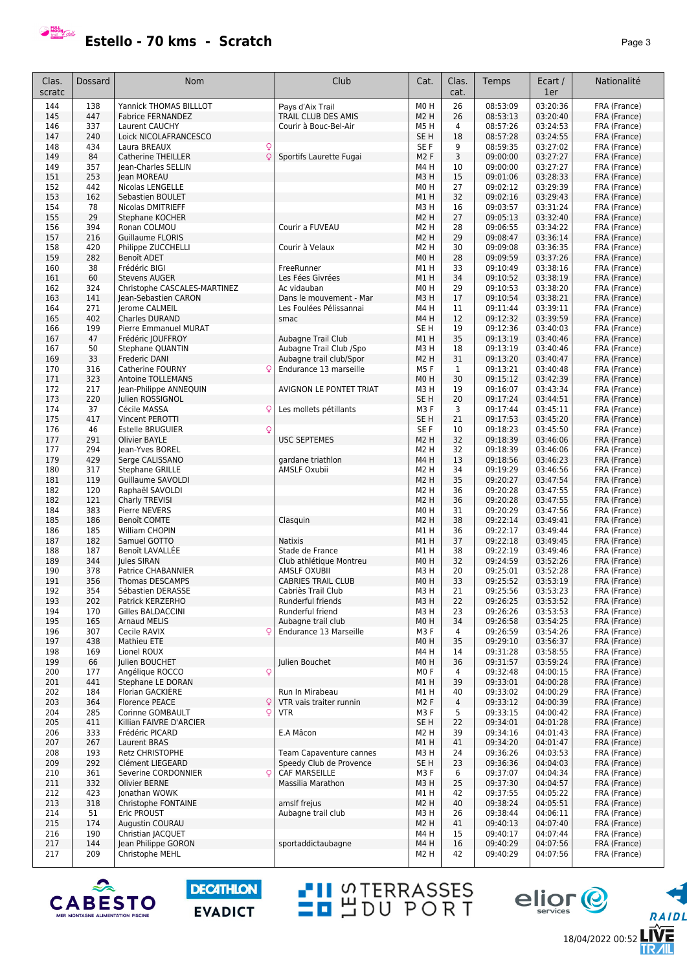

18/04/2022 00:52

RAIDL

**LIVE**<br>TR*A*IL

eljor<sup>e</sup>

| Clas.<br>scratc | Dossard    | Nom                                           | Club                                   | Cat.                     | Clas.<br>cat.  | Temps                | Ecart /<br>1er       | Nationalité                  |
|-----------------|------------|-----------------------------------------------|----------------------------------------|--------------------------|----------------|----------------------|----------------------|------------------------------|
| 144             | 138        | Yannick THOMAS BILLLOT                        | Pavs d'Aix Trail                       | MO <sub>H</sub>          | 26             | 08:53:09             | 03:20:36             | FRA (France)                 |
| 145             | 447        | <b>Fabrice FERNANDEZ</b>                      | TRAIL CLUB DES AMIS                    | M2 H                     | 26             | 08:53:13             | 03:20:40             | FRA (France)                 |
| 146             | 337        | Laurent CAUCHY                                | Courir à Bouc-Bel-Air                  | M5 H                     | $\overline{4}$ | 08:57:26             | 03:24:53             | FRA (France)                 |
| 147             | 240        | Loick NICOLAFRANCESCO                         |                                        | SE <sub>H</sub>          | 18             | 08:57:28             | 03:24:55             | FRA (France)                 |
| 148             | 434        | Laura BREAUX<br>Q                             |                                        | SE F                     | 9              | 08:59:35             | 03:27:02             | FRA (France)                 |
| 149             | 84         | Q<br>Catherine THEILLER                       | Sportifs Laurette Fugai                | M <sub>2</sub> F         | 3              | 09:00:00             | 03:27:27             | FRA (France)                 |
| 149             | 357        | Jean-Charles SELLIN                           |                                        | M4 H                     | 10             | 09:00:00             | 03:27:27             | FRA (France)                 |
| 151             | 253        | Jean MOREAU                                   |                                        | M3H                      | 15             | 09:01:06             | 03:28:33             | FRA (France)                 |
| 152             | 442        | Nicolas LENGELLE                              |                                        | M <sub>0</sub> H         | 27             | 09:02:12             | 03:29:39             | FRA (France)                 |
| 153             | 162        | Sebastien BOULET                              |                                        | M1H                      | 32             | 09:02:16             | 03:29:43             | FRA (France)                 |
| 154             | 78         | Nicolas DMITRIEFF                             |                                        | M3H                      | 16             | 09:03:57             | 03:31:24             | FRA (France)                 |
| 155             | 29         | Stephane KOCHER                               |                                        | M <sub>2</sub> H         | 27             | 09:05:13             | 03:32:40             | FRA (France)                 |
| 156             | 394        | Ronan COLMOU                                  | Courir a FUVEAU                        | M2 H                     | 28             | 09:06:55             | 03:34:22             | FRA (France)                 |
| 157             | 216        | <b>Guillaume FLORIS</b>                       |                                        | M <sub>2</sub> H         | 29             | 09:08:47             | 03:36:14             | FRA (France)                 |
| 158             | 420        | Philippe ZUCCHELLI                            | Courir à Velaux                        | M2 H                     | 30             | 09:09:08             | 03:36:35             | FRA (France)                 |
| 159             | 282        | Benoît ADET                                   |                                        | MO H                     | 28             | 09:09:59             | 03:37:26             | FRA (France)                 |
| 160             | 38         | Frédéric BIGI                                 | FreeRunner                             | M1 H                     | 33             | 09:10:49             | 03:38:16             | FRA (France)                 |
| 161             | 60         | <b>Stevens AUGER</b>                          | Les Fées Givrées                       | M1 H                     | 34             | 09:10:52             | 03:38:19             | FRA (France)                 |
| 162<br>163      | 324<br>141 | Christophe CASCALES-MARTINEZ                  | Ac vidauban<br>Dans le mouvement - Mar | M0H<br>M3H               | 29<br>17       | 09:10:53<br>09:10:54 | 03:38:20<br>03:38:21 | FRA (France)                 |
| 164             | 271        | Jean-Sebastien CARON<br><b>lerome CALMEIL</b> | Les Foulées Pélissannai                | M4H                      | 11             | 09:11:44             | 03:39:11             | FRA (France)<br>FRA (France) |
| 165             | 402        | Charles DURAND                                | smac                                   | M4H                      | 12             | 09:12:32             | 03:39:59             | FRA (France)                 |
| 166             | 199        | Pierre Emmanuel MURAT                         |                                        | SE <sub>H</sub>          | 19             | 09:12:36             | 03:40:03             | FRA (France)                 |
| 167             | 47         | Frédéric JOUFFROY                             | Aubagne Trail Club                     | M1 H                     | 35             | 09:13:19             | 03:40:46             | FRA (France)                 |
| 167             | 50         | Stephane QUANTIN                              | Aubagne Trail Club /Spo                | МЗ Н                     | 18             | 09:13:19             | 03:40:46             | FRA (France)                 |
| 169             | 33         | Frederic DANI                                 | Aubagne trail club/Spor                | M <sub>2</sub> H         | 31             | 09:13:20             | 03:40:47             | FRA (France)                 |
| 170             | 316        | Catherine FOURNY<br>Q                         | Endurance 13 marseille                 | M5F                      | 1              | 09:13:21             | 03:40:48             | FRA (France)                 |
| 171             | 323        | Antoine TOLLEMANS                             |                                        | M0H                      | 30             | 09:15:12             | 03:42:39             | FRA (France)                 |
| 172             | 217        | Jean-Philippe ANNEQUIN                        | AVIGNON LE PONTET TRIAT                | M3H                      | 19             | 09:16:07             | 03:43:34             | FRA (France)                 |
| 173             | 220        | Julien ROSSIGNOL                              |                                        | SE <sub>H</sub>          | 20             | 09:17:24             | 03:44:51             | FRA (France)                 |
| 174             | 37         | Cécile MASSA<br>Q                             | Les mollets pétillants                 | M3F                      | 3              | 09:17:44             | 03:45:11             | FRA (France)                 |
| 175             | 417        | Vincent PEROTTI                               |                                        | SE <sub>H</sub>          | 21             | 09:17:53             | 03:45:20             | FRA (France)                 |
| 176             | 46         | <b>Estelle BRUGUIER</b><br>Q                  |                                        | SE <sub>F</sub>          | 10             | 09:18:23             | 03:45:50             | FRA (France)                 |
| 177             | 291        | <b>Olivier BAYLE</b>                          | <b>USC SEPTEMES</b>                    | M <sub>2</sub> H         | 32             | 09:18:39             | 03:46:06             | FRA (France)                 |
| 177             | 294        | Jean-Yves BOREL                               |                                        | M2 H                     | 32             | 09:18:39             | 03:46:06             | FRA (France)                 |
| 179             | 429        | Serge CALISSANO                               | gardane triathlon                      | M4H                      | 13             | 09:18:56             | 03:46:23             | FRA (France)                 |
| 180             | 317        | <b>Stephane GRILLE</b>                        | <b>AMSLF Oxubii</b>                    | M2 H                     | 34             | 09:19:29             | 03:46:56             | FRA (France)                 |
| 181             | 119        | Guillaume SAVOLDI                             |                                        | M <sub>2</sub> H         | 35             | 09:20:27             | 03:47:54             | FRA (France)                 |
| 182<br>182      | 120<br>121 | Raphaël SAVOLDI                               |                                        | M2 H<br>M <sub>2</sub> H | 36<br>36       | 09:20:28<br>09:20:28 | 03:47:55<br>03:47:55 | FRA (France)                 |
| 184             | 383        | Charly TREVISI<br>Pierre NEVERS               |                                        | MO H                     | 31             | 09:20:29             | 03:47:56             | FRA (France)<br>FRA (France) |
| 185             | 186        | Benoît COMTE                                  | Clasquin                               | M2 H                     | 38             | 09:22:14             | 03:49:41             | FRA (France)                 |
| 186             | 185        | William CHOPIN                                |                                        | M1 H                     | 36             | 09:22:17             | 03:49:44             | FRA (France)                 |
| 187             | 182        | Samuel GOTTO                                  | <b>Natixis</b>                         | M1H                      | 37             | 09:22:18             | 03:49:45             | FRA (France)                 |
| 188             | 187        | Benoît LAVALLEE                               | Stade de France                        | M1 H                     | 38             | 09:22:19             | 03:49:46             | FRA (France)                 |
| 189             | 344        | <b>Iules SIRAN</b>                            | Club athlétique Montreu                | M0H                      | 32             | 09:24:59             | 03:52:26             | FRA (France)                 |
| 190             | 378        | Patrice CHABANNIER                            | AMSLF OXUBII                           | мз н                     | 20             | 09:25:01             | 03:52:28             | FRA (France)                 |
| 191             | 356        | <b>Thomas DESCAMPS</b>                        | <b>CABRIES TRAIL CLUB</b>              | MO H                     | 33             | 09:25:52             | 03:53:19             | FRA (France)                 |
| 192             | 354        | Sébastien DERASSE                             | Cabriès Trail Club                     | M3H                      | 21             | 09:25:56             | 03:53:23             | FRA (France)                 |
| 193             | 202        | Patrick KERZERHO                              | Runderful friends                      | M3H                      | 22             | 09:26:25             | 03:53:52             | FRA (France)                 |
| 194             | 170        | Gilles BALDACCINI                             | Runderful friend                       | МЗ Н                     | 23             | 09:26:26             | 03:53:53             | FRA (France)                 |
| 195             | 165        | <b>Arnaud MELIS</b>                           | Aubagne trail club                     | M0H                      | 34             | 09:26:58             | 03:54:25             | FRA (France)                 |
| 196             | 307        | Q<br>Cecile RAVIX                             | Endurance 13 Marseille                 | M3 F                     | 4              | 09:26:59             | 03:54:26             | FRA (France)                 |
| 197             | 438<br>169 | Mathieu ETE<br>Lionel ROUX                    |                                        | MO H                     | 35<br>14       | 09:29:10             | 03:56:37             | FRA (France)                 |
| 198<br>199      | 66         | Julien BOUCHET                                | Julien Bouchet                         | M4 H<br>M0H              | 36             | 09:31:28<br>09:31:57 | 03:58:55<br>03:59:24 | FRA (France)<br>FRA (France) |
| 200             | 177        | Angélique ROCCO<br>Q                          |                                        | MO <sub>F</sub>          | 4              | 09:32:48             | 04:00:15             | FRA (France)                 |
| 201             | 441        | Stephane LE DORAN                             |                                        | M1H                      | 39             | 09:33:01             | 04:00:28             | FRA (France)                 |
| 202             | 184        | Florian GACKIERE                              | Run In Mirabeau                        | M1 H                     | 40             | 09:33:02             | 04:00:29             | FRA (France)                 |
| 203             | 364        | <b>Florence PEACE</b><br>Q                    | VTR vais traiter runnin                | M <sub>2</sub> F         | $\overline{4}$ | 09:33:12             | 04:00:39             | FRA (France)                 |
| 204             | 285        | Q<br>Corinne GOMBAULT                         | <b>VTR</b>                             | M3F                      | 5              | 09:33:15             | 04:00:42             | FRA (France)                 |
| 205             | 411        | Killian FAIVRE D'ARCIER                       |                                        | SE H                     | 22             | 09:34:01             | 04:01:28             | FRA (France)                 |
| 206             | 333        | Frédéric PICARD                               | E.A Mâcon                              | M2 H                     | 39             | 09:34:16             | 04:01:43             | FRA (France)                 |
| 207             | 267        | Laurent BRAS                                  |                                        | M1 H                     | 41             | 09:34:20             | 04:01:47             | FRA (France)                 |
| 208             | 193        | <b>Retz CHRISTOPHE</b>                        | Team Capaventure cannes                | M3H                      | 24             | 09:36:26             | 04:03:53             | FRA (France)                 |
| 209             | 292        | Clément LIEGEARD                              | Speedy Club de Provence                | SE H                     | 23             | 09:36:36             | 04:04:03             | FRA (France)                 |
| 210             | 361        | Severine CORDONNIER<br>Q                      | <b>CAF MARSEILLE</b>                   | M3 F                     | 6              | 09:37:07             | 04:04:34             | FRA (France)                 |
| 211             | 332        | <b>Olivier BERNE</b>                          | Massilia Marathon                      | M3 H                     | 25             | 09:37:30             | 04:04:57             | FRA (France)                 |
| 212             | 423        | Jonathan WOWK                                 |                                        | M1 H                     | 42             | 09:37:55             | 04:05:22             | FRA (France)                 |
| 213             | 318        | Christophe FONTAINE                           | amslf frejus                           | M2 H                     | 40             | 09:38:24             | 04:05:51             | FRA (France)                 |
| 214             | 51         | Eric PROUST                                   | Aubagne trail club                     | M3H                      | 26             | 09:38:44             | 04:06:11             | FRA (France)                 |
| 215             | 174        | Augustin COURAU                               |                                        | M2 H                     | 41             | 09:40:13             | 04:07:40<br>04:07:44 | FRA (France)                 |
| 216<br>217      | 190<br>144 | Christian JACQUET<br>Jean Philippe GORON      | sportaddictaubagne                     | M4H<br>M4H               | 15<br>16       | 09:40:17<br>09:40:29 | 04:07:56             | FRA (France)<br>FRA (France) |
| 217             | 209        | Christophe MEHL                               |                                        | M2 H                     | 42             | 09:40:29             | 04:07:56             | FRA (France)                 |
|                 |            |                                               |                                        |                          |                |                      |                      |                              |

**TH** STERRASSES



**DECATHLON EVADICT**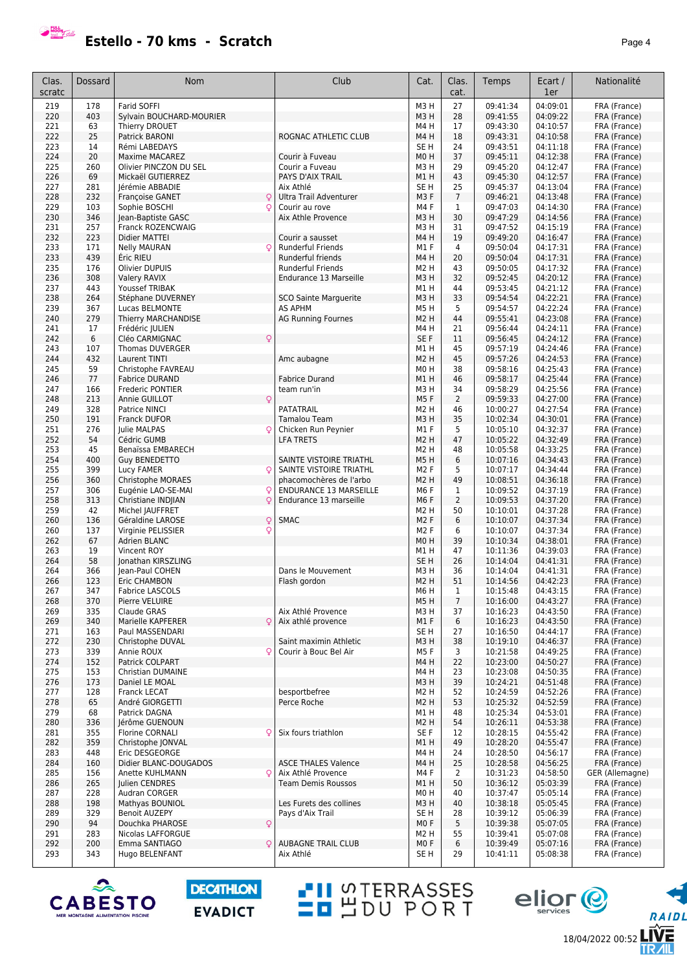

| Estello - 70 kms - Scratch | Page 4 |
|----------------------------|--------|
|----------------------------|--------|

| Clas.<br>scratc | Dossard    | Nom                                           | Club                                                     | Cat.                           | Clas.<br>cat.       | Temps                | Ecart /<br>1er       | Nationalité                  |
|-----------------|------------|-----------------------------------------------|----------------------------------------------------------|--------------------------------|---------------------|----------------------|----------------------|------------------------------|
| 219             | 178        | <b>Farid SOFFI</b>                            |                                                          | M <sub>3</sub> H               | 27                  | 09:41:34             | 04:09:01             | FRA (France)                 |
| 220             | 403        | Sylvain BOUCHARD-MOURIER                      |                                                          | M3H                            | 28                  | 09:41:55             | 04:09:22             | FRA (France)                 |
| 221             | 63         | Thierry DROUET                                |                                                          | M4H                            | 17                  | 09:43:30             | 04:10:57             | FRA (France)                 |
| 222             | 25         | Patrick BARONI                                | ROGNAC ATHLETIC CLUB                                     | M4H                            | 18                  | 09:43:31             | 04:10:58             | FRA (France)                 |
| 223             | 14         | Rémi LABEDAYS                                 |                                                          | SE <sub>H</sub>                | 24                  | 09:43:51             | 04:11:18             | FRA (France)                 |
| 224             | 20         | <b>Maxime MACAREZ</b>                         | Courir à Fuveau                                          | M <sub>0</sub> H               | 37                  | 09:45:11             | 04:12:38             | FRA (France)                 |
| 225<br>226      | 260<br>69  | Olivier PINCZON DU SEL<br>Mickaël GUTIERREZ   | Courir a Fuveau<br>PAYS D'AIX TRAIL                      | M3H<br>M1H                     | 29<br>43            | 09:45:20<br>09:45:30 | 04:12:47<br>04:12:57 | FRA (France)<br>FRA (France) |
| 227             | 281        | Jérémie ABBADIE                               | Aix Athlé                                                | SE <sub>H</sub>                | 25                  | 09:45:37             | 04:13:04             | FRA (France)                 |
| 228             | 232        | <b>Francoise GANET</b><br>Q                   | Ultra Trail Adventurer                                   | M3F                            | $\overline{7}$      | 09:46:21             | 04:13:48             | FRA (France)                 |
| 229             | 103        | Sophie BOSCHI<br>Q                            | Courir au rove                                           | M4F                            | $\mathbf{1}$        | 09:47:03             | 04:14:30             | FRA (France)                 |
| 230             | 346        | Jean-Baptiste GASC                            | Aix Athle Provence                                       | M3H                            | 30                  | 09:47:29             | 04:14:56             | FRA (France)                 |
| 231             | 257        | Franck ROZENCWAIG                             |                                                          | M <sub>3</sub> H               | 31                  | 09:47:52             | 04:15:19             | FRA (France)                 |
| 232             | 223        | Didier MATTEI                                 | Courir a sausset                                         | M4H                            | 19                  | 09:49:20             | 04:16:47             | FRA (France)                 |
| 233             | 171        | <b>Nelly MAURAN</b><br>Q                      | <b>Runderful Friends</b>                                 | M1F                            | 4                   | 09:50:04             | 04:17:31             | FRA (France)                 |
| 233             | 439        | Éric RIEU                                     | Runderful friends                                        | M4H                            | 20                  | 09:50:04             | 04:17:31             | FRA (France)                 |
| 235             | 176        | Olivier DUPUIS                                | Runderful Friends                                        | M <sub>2</sub> H               | 43                  | 09:50:05             | 04:17:32             | FRA (France)                 |
| 236             | 308        | <b>Valery RAVIX</b>                           | Endurance 13 Marseille                                   | M3H                            | 32                  | 09:52:45             | 04:20:12             | FRA (France)                 |
| 237             | 443        | Youssef TRIBAK                                |                                                          | M1H                            | 44                  | 09:53:45             | 04:21:12             | FRA (France)                 |
| 238<br>239      | 264<br>367 | Stéphane DUVERNEY<br>Lucas BELMONTE           | <b>SCO Sainte Marquerite</b><br><b>AS APHM</b>           | M <sub>3</sub> H<br>M5H        | 33<br>5             | 09:54:54<br>09:54:57 | 04:22:21<br>04:22:24 | FRA (France)                 |
| 240             | 279        | Thierry MARCHANDISE                           | <b>AG Running Fournes</b>                                | M <sub>2</sub> H               | 44                  | 09:55:41             | 04:23:08             | FRA (France)<br>FRA (France) |
| 241             | 17         | Frédéric JULIEN                               |                                                          | M4H                            | 21                  | 09:56:44             | 04:24:11             | FRA (France)                 |
| 242             | 6          | Cléo CARMIGNAC<br>Q                           |                                                          | SE F                           | 11                  | 09:56:45             | 04:24:12             | FRA (France)                 |
| 243             | 107        | Thomas DUVERGER                               |                                                          | M1H                            | 45                  | 09:57:19             | 04:24:46             | FRA (France)                 |
| 244             | 432        | Laurent TINTI                                 | Amc aubagne                                              | M <sub>2</sub> H               | 45                  | 09:57:26             | 04:24:53             | FRA (France)                 |
| 245             | 59         | Christophe FAVREAU                            |                                                          | M <sub>0</sub> H               | 38                  | 09:58:16             | 04:25:43             | FRA (France)                 |
| 246             | 77         | <b>Fabrice DURAND</b>                         | <b>Fabrice Durand</b>                                    | M1H                            | 46                  | 09:58:17             | 04:25:44             | FRA (France)                 |
| 247             | 166        | Frederic PONTIER                              | team run'in                                              | M3H                            | 34                  | 09:58:29             | 04:25:56             | FRA (France)                 |
| 248             | 213        | Q<br>Annie GUILLOT                            |                                                          | M5F                            | $\overline{2}$      | 09:59:33             | 04:27:00             | FRA (France)                 |
| 249             | 328        | Patrice NINCI                                 | <b>PATATRAIL</b>                                         | M2 H                           | 46                  | 10:00:27             | 04:27:54             | FRA (France)                 |
| 250             | 191        | <b>Franck DUFOR</b>                           | Tamalou Team                                             | M3H                            | 35                  | 10:02:34             | 04:30:01             | FRA (France)                 |
| 251             | 276        | Julie MALPAS<br>Q                             | Chicken Run Peynier                                      | M1F                            | 5                   | 10:05:10             | 04:32:37             | FRA (France)                 |
| 252             | 54         | Cédric GUMB                                   | <b>LFA TRETS</b>                                         | M <sub>2</sub> H               | 47                  | 10:05:22             | 04:32:49             | FRA (France)                 |
| 253             | 45         | Benaïssa EMBARECH                             |                                                          | M <sub>2</sub> H               | 48                  | 10:05:58             | 04:33:25             | FRA (France)                 |
| 254             | 400        | Guy BENEDETTO                                 | SAINTE VISTOIRE TRIATHL                                  | M5H                            | 6                   | 10:07:16             | 04:34:43             | FRA (France)                 |
| 255             | 399        | Lucy FAMER<br>Q                               | SAINTE VISTOIRE TRIATHL                                  | M <sub>2</sub> F               | 5                   | 10:07:17             | 04:34:44             | FRA (France)                 |
| 256             | 360        | <b>Christophe MORAES</b>                      | phacomochères de l'arbo<br><b>ENDURANCE 13 MARSEILLE</b> | <b>M2H</b><br>M <sub>6</sub> F | 49                  | 10:08:51             | 04:36:18<br>04:37:19 | FRA (France)                 |
| 257<br>258      | 306<br>313 | Eugénie LAO-SE-MAI<br>Christiane INDJIAN<br>Q | Endurance 13 marseille                                   | M <sub>6</sub> F               | 1<br>$\overline{2}$ | 10:09:52<br>10:09:53 | 04:37:20             | FRA (France)<br>FRA (France) |
| 259             | 42         | Michel JAUFFRET                               |                                                          | M <sub>2</sub> H               | 50                  | 10:10:01             | 04:37:28             | FRA (France)                 |
| 260             | 136        | Q<br>Géraldine LAROSE                         | <b>SMAC</b>                                              | M <sub>2</sub> F               | 6                   | 10:10:07             | 04:37:34             | FRA (France)                 |
| 260             | 137        | Virginie PELISSIER<br>Q                       |                                                          | M <sub>2</sub> F               | 6                   | 10:10:07             | 04:37:34             | FRA (France)                 |
| 262             | 67         | Adrien BLANC                                  |                                                          | M <sub>0</sub> H               | 39                  | 10:10:34             | 04:38:01             | FRA (France)                 |
| 263             | 19         | Vincent ROY                                   |                                                          | M1H                            | 47                  | 10:11:36             | 04:39:03             | FRA (France)                 |
| 264             | 58         | Ionathan KIRSZLING                            |                                                          | SE <sub>H</sub>                | 26                  | 10:14:04             | 04:41:31             | FRA (France)                 |
| 264             | 366        | Jean-Paul COHEN                               | Dans le Mouvement                                        | M3H                            | 36                  | 10:14:04             | 04:41:31             | FRA (France)                 |
| 266             | 123        | Eric CHAMBON                                  | Flash gordon                                             | M <sub>2</sub> H               | 51                  | 10:14:56             | 04:42:23             | FRA (France)                 |
| 267             | 347        | <b>Fabrice LASCOLS</b>                        |                                                          | M6H                            | 1                   | 10:15:48             | 04:43:15             | FRA (France)                 |
| 268             | 370        | Pierre VELUIRE                                |                                                          | M5H                            | 7                   | 10:16:00             | 04:43:27             | FRA (France)                 |
| 269             | 335        | <b>Claude GRAS</b>                            | Aix Athlé Provence                                       | M3H                            | 37                  | 10:16:23             | 04:43:50             | FRA (France)                 |
| 269             | 340        | Marielle KAPFERER<br>Q                        | Aix athlé provence                                       | M1F                            | 6                   | 10:16:23             | 04:43:50             | FRA (France)                 |
| 271<br>272      | 163<br>230 | Paul MASSENDARI<br>Christophe DUVAL           | Saint maximin Athletic                                   | SE <sub>H</sub><br>M3H         | 27<br>38            | 10:16:50<br>10:19:10 | 04:44:17<br>04:46:37 | FRA (France)<br>FRA (France) |
| 273             | 339        | Annie ROUX<br>Q                               | Courir à Bouc Bel Air                                    | M5F                            | 3                   | 10:21:58             | 04:49:25             | FRA (France)                 |
| 274             | 152        | Patrick COLPART                               |                                                          | M4H                            | 22                  | 10:23:00             | 04:50:27             | FRA (France)                 |
| 275             | 153        | Christian DUMAINE                             |                                                          | M4H                            | 23                  | 10:23:08             | 04:50:35             | FRA (France)                 |
| 276             | 173        | Daniel LE MOAL                                |                                                          | M3H                            | 39                  | 10:24:21             | 04:51:48             | FRA (France)                 |
| 277             | 128        | Franck LECAT                                  | besportbefree                                            | M <sub>2</sub> H               | 52                  | 10:24:59             | 04:52:26             | FRA (France)                 |
| 278             | 65         | André GIORGETTI                               | Perce Roche                                              | M <sub>2</sub> H               | 53                  | 10:25:32             | 04:52:59             | FRA (France)                 |
| 279             | 68         | Patrick DAGNA                                 |                                                          | M1H                            | 48                  | 10:25:34             | 04:53:01             | FRA (France)                 |
| 280             | 336        | Jérôme GUENOUN                                |                                                          | M <sub>2</sub> H               | 54                  | 10:26:11             | 04:53:38             | FRA (France)                 |
| 281             | 355        | Florine CORNALI<br>Q                          | Six fours triathlon                                      | SE F                           | 12                  | 10:28:15             | 04:55:42             | FRA (France)                 |
| 282             | 359        | Christophe JONVAL                             |                                                          | M1H                            | 49                  | 10:28:20             | 04:55:47             | FRA (France)                 |
| 283             | 448        | Eric DESGEORGE                                |                                                          | M4H                            | 24                  | 10:28:50             | 04:56:17             | FRA (France)                 |
| 284             | 160        | Didier BLANC-DOUGADOS                         | <b>ASCE THALES Valence</b>                               | M4H                            | 25                  | 10:28:58             | 04:56:25             | FRA (France)                 |
| 285             | 156        | Anette KUHLMANN<br>Q                          | Aix Athlé Provence                                       | M4F                            | 2                   | 10:31:23             | 04:58:50             | GER (Allemagne)              |
| 286             | 265        | Julien CENDRES                                | <b>Team Demis Roussos</b>                                | M1H                            | 50                  | 10:36:12             | 05:03:39             | FRA (France)                 |
| 287             | 228        | Audran CORGER                                 |                                                          | M <sub>0</sub> H               | 40                  | 10:37:47             | 05:05:14             | FRA (France)                 |
| 288<br>289      | 198<br>329 | Mathyas BOUNIOL<br><b>Benoit AUZEPY</b>       | Les Furets des collines<br>Pays d'Aix Trail              | M3H<br>SE <sub>H</sub>         | 40<br>28            | 10:38:18<br>10:39:12 | 05:05:45<br>05:06:39 | FRA (France)<br>FRA (France) |
| 290             | 94         | Douchka PHAROSE<br>Q                          |                                                          | M <sub>0</sub> F               | 5                   | 10:39:38             | 05:07:05             | FRA (France)                 |
| 291             | 283        | Nicolas LAFFORGUE                             |                                                          | M <sub>2</sub> H               | 55                  | 10:39:41             | 05:07:08             | FRA (France)                 |
| 292             | 200        | Emma SANTIAGO<br>Q                            | <b>AUBAGNE TRAIL CLUB</b>                                | M <sub>0</sub> F               | 6                   | 10:39:49             | 05:07:16             | FRA (France)                 |
| 293             | 343        | Hugo BELENFANT                                | Aix Athlé                                                | SE <sub>H</sub>                | 29                  | 10:41:11             | 05:08:38             | FRA (France)                 |

**PH** STERRASSES



**DECATHLON EVADICT**